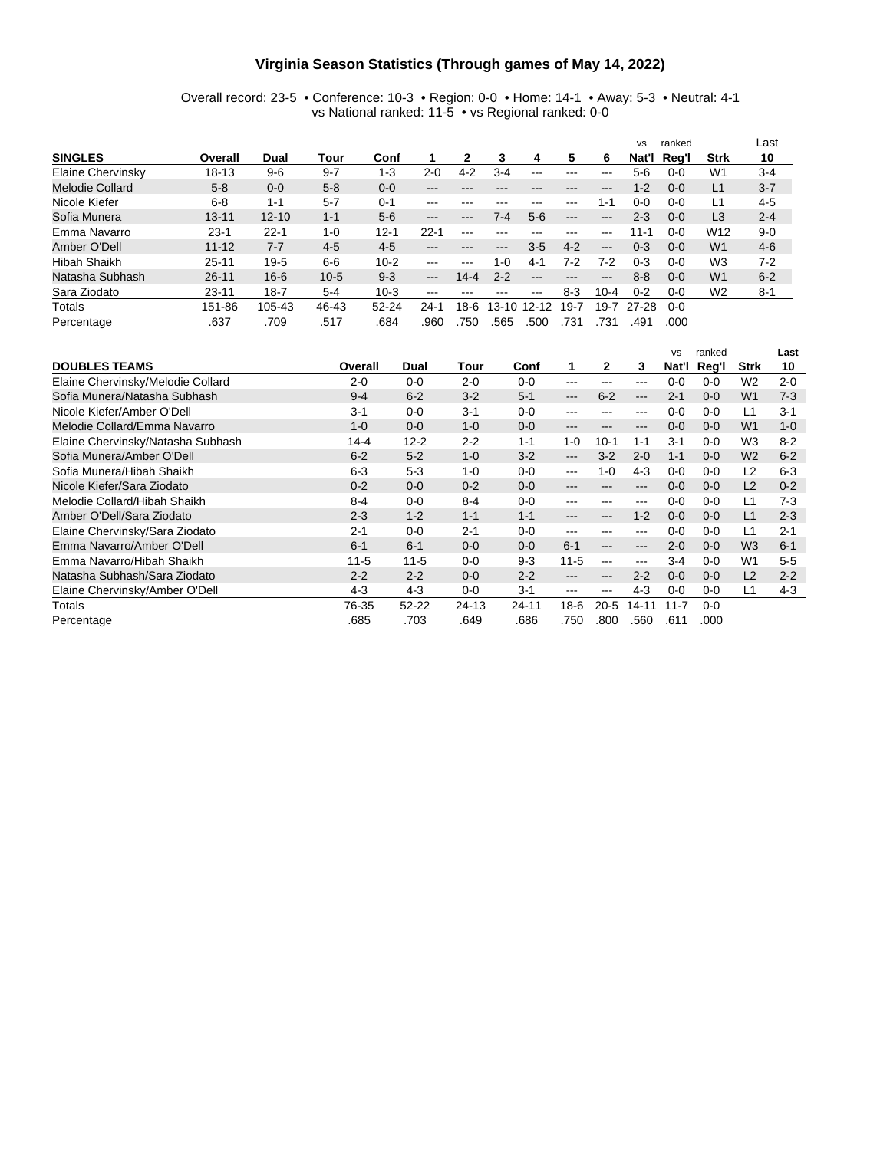#### **Virginia Season Statistics (Through games of May 14, 2022)**

Overall record: 23-5 • Conference: 10-3 • Region: 0-0 • Home: 14-1 • Away: 5-3 • Neutral: 4-1 vs National ranked: 11-5 • vs Regional ranked: 0-0

|                     |           |           |          |           |                            |          |                   |         |               |                        | <b>VS</b> | ranked  |                 | Last    |
|---------------------|-----------|-----------|----------|-----------|----------------------------|----------|-------------------|---------|---------------|------------------------|-----------|---------|-----------------|---------|
| <b>SINGLES</b>      | Overall   | Dual      | Tour     | Conf      |                            |          | 3                 | 4       | 5             | 6                      | Nat'l     | Reg'l   | <b>Strk</b>     | 10      |
| Elaine Chervinsky   | $18 - 13$ | $9-6$     | $9 - 7$  | $1 - 3$   | $2 - 0$                    | $4 - 2$  | $3-4$             | ---     | ---           |                        | 5-6       | $0 - 0$ | W1              | $3 - 4$ |
| Melodie Collard     | $5 - 8$   | $0 - 0$   | $5 - 8$  | $0 - 0$   | ---                        | ---      |                   |         | ---           | $- - -$                | $1 - 2$   | $0 - 0$ | L1              | $3 - 7$ |
| Nicole Kiefer       | $6 - 8$   | $1 - 1$   | $5 - 7$  | $0 - 1$   | ---                        | ---      | ---               | ---     | $\frac{1}{2}$ | 1-1                    | 0-0       | $0 - 0$ | L1              | $4 - 5$ |
| Sofia Munera        | $13 - 11$ | $12 - 10$ | $1 - 1$  | $5-6$     | $\qquad \qquad - \qquad -$ | ---      | 7-4               | $5-6$   | $---$         | $---$                  | 2-3       | $0 - 0$ | L <sub>3</sub>  | $2 - 4$ |
| Emma Navarro        | $23 - 1$  | $22 - 1$  | $1 - 0$  | $12 - 1$  | $22 - 1$                   | $--$     | ---               |         | ---           | $- - -$                | $11 - 1$  | 0-0     | W <sub>12</sub> | $9 - 0$ |
| Amber O'Dell        | $11 - 12$ | $7 - 7$   | $4 - 5$  | $4-5$     | ---                        | ---      | $\qquad \qquad -$ | $3 - 5$ | $4 - 2$       | $\qquad \qquad -$      | $0 - 3$   | $0 - 0$ | W <sub>1</sub>  | $4-6$   |
| <b>Hibah Shaikh</b> | $25 - 11$ | $19-5$    | $6-6$    | $10 - 2$  | ---                        | ---      | 1-0               | $4 - 1$ | 7-2           | 7-2                    | 0-3       | $0 - 0$ | W <sub>3</sub>  | $7 - 2$ |
| Natasha Subhash     | $26 - 11$ | $16 - 6$  | $10 - 5$ | $9 - 3$   | $---$                      | $14 - 4$ | $2 - 2$           | ---     | ---           | $\qquad \qquad \cdots$ | $8 - 8$   | $0 - 0$ | W <sub>1</sub>  | $6 - 2$ |
| Sara Ziodato        | $23 - 11$ | $18 - 7$  | $5 - 4$  | $10-3$    | ---                        | ---      | ---               | ---     | 8-3           | $10 - 4$               | $0 - 2$   | 0-0     | W <sub>2</sub>  | $8 - 1$ |
| Totals              | 151-86    | 105-43    | 46-43    | $52 - 24$ | 24-1                       | $18-6$   | $13 - 10$         | $12-12$ | $19-7$        | $19-7$                 | 27-28     | $0 - 0$ |                 |         |
| Percentage          | .637      | .709      | .517     | .684      | .960                       | 750      | .565              | .500    | .731          | .731                   | .491      | .000    |                 |         |

|                                   |          |           |         |         |                        |          |         | <b>VS</b> | ranked  |                | Last    |
|-----------------------------------|----------|-----------|---------|---------|------------------------|----------|---------|-----------|---------|----------------|---------|
| <b>DOUBLES TEAMS</b>              | Overall  | Dual      | Tour    | Conf    | 1                      | 2        | 3       | Nat'l     | Reg'l   | Strk           | 10      |
| Elaine Chervinsky/Melodie Collard | $2 - 0$  | $0-0$     | $2 - 0$ | $0-0$   | $--$                   | ---      | ---     | $0 - 0$   | $0 - 0$ | W <sub>2</sub> | $2 - 0$ |
| Sofia Munera/Natasha Subhash      | $9 - 4$  | $6 - 2$   | $3 - 2$ | $5 - 1$ | $\qquad \qquad -$      | $6 - 2$  | ---     | $2 - 1$   | $0 - 0$ | W <sub>1</sub> | $7-3$   |
| Nicole Kiefer/Amber O'Dell        | $3 - 1$  | $0 - 0$   | $3 - 1$ | $0 - 0$ | ---                    |          | ---     | $0 - 0$   | $0 - 0$ | L1             | $3 - 1$ |
| Melodie Collard/Emma Navarro      | $1 - 0$  | $0 - 0$   | $1 - 0$ | $0 - 0$ | $\qquad \qquad \cdots$ |          | ---     | $0 - 0$   | $0 - 0$ | W <sub>1</sub> | $1 - 0$ |
| Elaine Chervinsky/Natasha Subhash | $14 - 4$ | $12 - 2$  | $2 - 2$ | $1 - 1$ | $1 - 0$                | $10-1$   | $1 - 1$ | $3 - 1$   | $0 - 0$ | W <sub>3</sub> | $8 - 2$ |
| Sofia Munera/Amber O'Dell         | $6 - 2$  | $5 - 2$   | $1 - 0$ | $3-2$   | $---$                  | $3-2$    | $2 - 0$ | $1 - 1$   | $0 - 0$ | W <sub>2</sub> | $6 - 2$ |
| Sofia Munera/Hibah Shaikh         | $6 - 3$  | $5-3$     | $1 - 0$ | $0 - 0$ | $--$                   | $1 - 0$  | $4 - 3$ | $0 - 0$   | $0 - 0$ | L <sub>2</sub> | $6 - 3$ |
| Nicole Kiefer/Sara Ziodato        | $0 - 2$  | $0 - 0$   | $0 - 2$ | $0 - 0$ | $---$                  |          | ---     | $0 - 0$   | $0 - 0$ | L <sub>2</sub> | $0 - 2$ |
| Melodie Collard/Hibah Shaikh      | $8 - 4$  | $0 - 0$   | $8 - 4$ | $0 - 0$ | ---                    |          | ---     | $0 - 0$   | $0 - 0$ | L1             | 7-3     |
| Amber O'Dell/Sara Ziodato         | $2 - 3$  | $1 - 2$   | $1 - 1$ | $1 - 1$ | $\qquad \qquad -$      | ---      | $1 - 2$ | $0 - 0$   | $0 - 0$ | L1             | $2 - 3$ |
| Elaine Chervinsky/Sara Ziodato    | $2 - 1$  | $0-0$     | $2 - 1$ | $0 - 0$ | ---                    | ---      | ---     | $0 - 0$   | $0 - 0$ | L1             | $2 - 1$ |
| Emma Navarro/Amber O'Dell         | $6 - 1$  | $6 - 1$   | $0 - 0$ | $0 - 0$ | $6 - 1$                | ---      | ---     | $2 - 0$   | $0 - 0$ | W <sub>3</sub> | $6 - 1$ |
| Emma Navarro/Hibah Shaikh         | $11 - 5$ | $11 - 5$  | $0 - 0$ | $9-3$   | $11 - 5$               | ---      | ---     | $3-4$     | $0-0$   | W <sub>1</sub> | $5-5$   |
| Natasha Subhash/Sara Ziodato      | $2 - 2$  | $2 - 2$   | $0 - 0$ | $2 - 2$ | $\qquad \qquad -$      | ---      | $2 - 2$ | $0 - 0$   | $0 - 0$ | L2             | $2 - 2$ |
| Elaine Chervinsky/Amber O'Dell    | $4 - 3$  | $4-3$     | $0 - 0$ | $3 - 1$ | ---                    | ---      | $4 - 3$ | $0 - 0$   | $0-0$   | L1             | $4-3$   |
| Totals                            | 76-35    | $52 - 22$ | $24-13$ | 24-11   | 18-6                   | $20 - 5$ | 14-11   | $11 - 7$  | $0-0$   |                |         |
| Percentage                        | .685     | .703      | .649    | .686    | .750                   | .800     | .560    | .611      | .000    |                |         |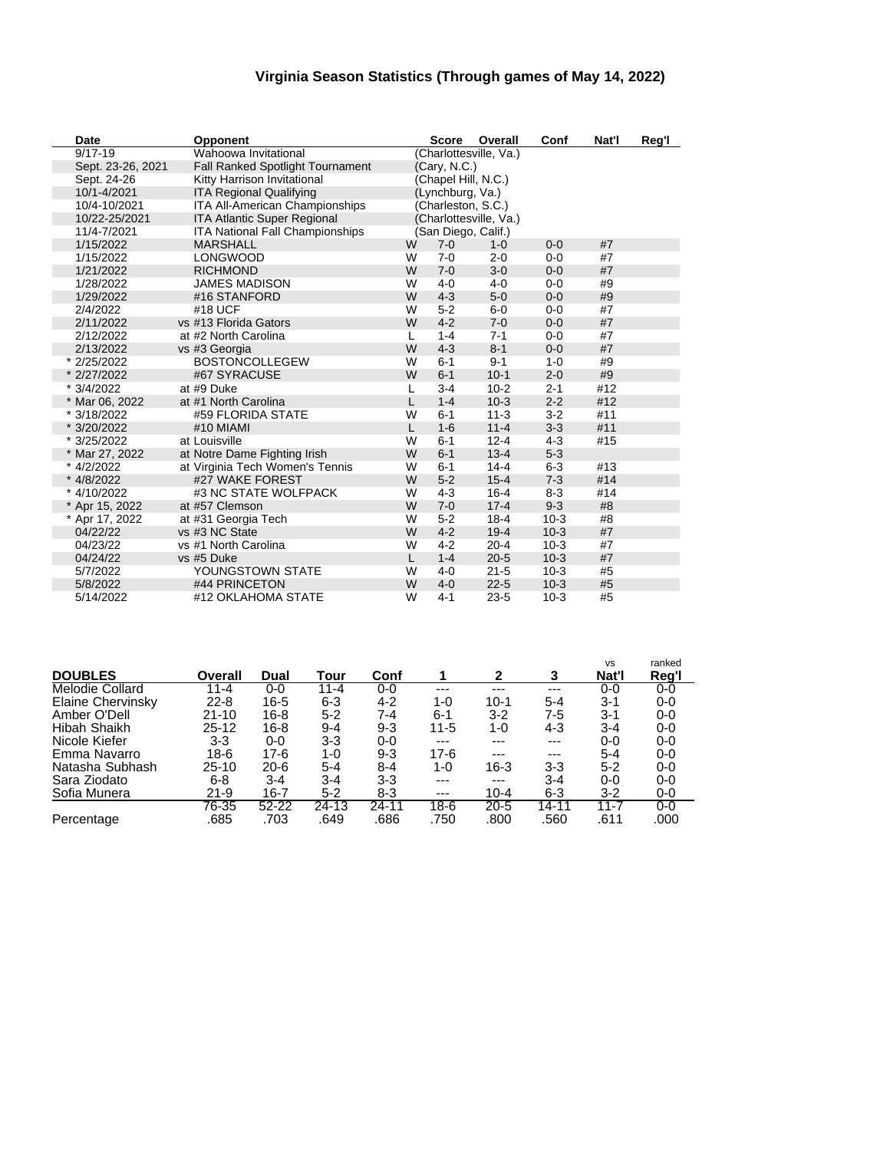### **Virginia Season Statistics (Through games of May 14, 2022)**

| Date              | <b>Opponent</b>                         |   | <b>Score</b>        | Overall                | Conf     | Nat'l | Reg'l |
|-------------------|-----------------------------------------|---|---------------------|------------------------|----------|-------|-------|
| $9/17 - 19$       | Wahoowa Invitational                    |   |                     | (Charlottesville, Va.) |          |       |       |
| Sept. 23-26, 2021 | <b>Fall Ranked Spotlight Tournament</b> |   | (Cary, N.C.)        |                        |          |       |       |
| Sept. 24-26       | Kitty Harrison Invitational             |   | (Chapel Hill, N.C.) |                        |          |       |       |
| 10/1-4/2021       | <b>ITA Regional Qualifying</b>          |   | (Lynchburg, Va.)    |                        |          |       |       |
| 10/4-10/2021      | <b>ITA All-American Championships</b>   |   | (Charleston, S.C.)  |                        |          |       |       |
| 10/22-25/2021     | <b>ITA Atlantic Super Regional</b>      |   |                     | (Charlottesville, Va.) |          |       |       |
| 11/4-7/2021       | <b>ITA National Fall Championships</b>  |   | (San Diego, Calif.) |                        |          |       |       |
| 1/15/2022         | <b>MARSHALL</b>                         | W | $7-0$               | $1 - 0$                | $0 - 0$  | #7    |       |
| 1/15/2022         | LONGWOOD                                | W | $7 - 0$             | $2 - 0$                | $0 - 0$  | #7    |       |
| 1/21/2022         | <b>RICHMOND</b>                         | W | $7 - 0$             | $3-0$                  | $0 - 0$  | #7    |       |
| 1/28/2022         | <b>JAMES MADISON</b>                    | W | $4 - 0$             | $4 - 0$                | $0-0$    | #9    |       |
| 1/29/2022         | #16 STANFORD                            | W | $4 - 3$             | $5-0$                  | $0-0$    | #9    |       |
| 2/4/2022          | #18 UCF                                 | W | $5-2$               | $6-0$                  | $0 - 0$  | #7    |       |
| 2/11/2022         | vs #13 Florida Gators                   | W | $4 - 2$             | $7 - 0$                | $0 - 0$  | #7    |       |
| 2/12/2022         | at #2 North Carolina                    | L | $1 - 4$             | $7 - 1$                | $0-0$    | #7    |       |
| 2/13/2022         | vs #3 Georgia                           | W | $4 - 3$             | $8 - 1$                | $0 - 0$  | #7    |       |
| * 2/25/2022       | <b>BOSTONCOLLEGEW</b>                   | W | $6 - 1$             | $9 - 1$                | $1 - 0$  | #9    |       |
| * 2/27/2022       | #67 SYRACUSE                            | W | $6 - 1$             | $10 - 1$               | $2 - 0$  | #9    |       |
| * 3/4/2022        | at #9 Duke                              | L | $3 - 4$             | $10 - 2$               | $2 - 1$  | #12   |       |
| * Mar 06, 2022    | at #1 North Carolina                    | L | $1 - 4$             | $10-3$                 | $2 - 2$  | #12   |       |
| * 3/18/2022       | #59 FLORIDA STATE                       | W | $6 - 1$             | $11 - 3$               | $3 - 2$  | #11   |       |
| * 3/20/2022       | #10 MIAMI                               | L | $1 - 6$             | $11 - 4$               | $3-3$    | #11   |       |
| * 3/25/2022       | at Louisville                           | W | $6 - 1$             | $12 - 4$               | $4-3$    | #15   |       |
| * Mar 27, 2022    | at Notre Dame Fighting Irish            | W | $6 - 1$             | $13 - 4$               | $5-3$    |       |       |
| * 4/2/2022        | at Virginia Tech Women's Tennis         | W | $6 - 1$             | $14 - 4$               | $6 - 3$  | #13   |       |
| * 4/8/2022        | #27 WAKE FOREST                         | W | $5 - 2$             | $15 - 4$               | $7 - 3$  | #14   |       |
| * 4/10/2022       | #3 NC STATE WOLFPACK                    | W | $4-3$               | $16 - 4$               | $8-3$    | #14   |       |
| * Apr 15, 2022    | at #57 Clemson                          | W | $7 - 0$             | $17 - 4$               | $9 - 3$  | #8    |       |
| * Apr 17, 2022    | at #31 Georgia Tech                     | W | $5 - 2$             | $18 - 4$               | $10-3$   | #8    |       |
| 04/22/22          | vs #3 NC State                          | W | $4 - 2$             | $19 - 4$               | $10-3$   | #7    |       |
| 04/23/22          | vs #1 North Carolina                    | W | $4 - 2$             | $20 - 4$               | $10-3$   | #7    |       |
| 04/24/22          | vs #5 Duke                              | L | $1 - 4$             | $20 - 5$               | $10-3$   | #7    |       |
| 5/7/2022          | YOUNGSTOWN STATE                        | W | $4 - 0$             | $21 - 5$               | $10-3$   | #5    |       |
| 5/8/2022          | #44 PRINCETON                           | W | $4 - 0$             | $22 - 5$               | $10-3$   | #5    |       |
| 5/14/2022         | #12 OKLAHOMA STATE                      | W | $4 - 1$             | $23 - 5$               | $10 - 3$ | #5    |       |

|                          |           |           |          |         |          |          |         | <b>VS</b> | ranked  |
|--------------------------|-----------|-----------|----------|---------|----------|----------|---------|-----------|---------|
| <b>DOUBLES</b>           | Overall   | Dual      | Tour     | Conf    |          | 2        | 3       | Nat'l     | Reg'l   |
| <b>Melodie Collard</b>   | 11-4      | $0 - 0$   | $11 - 4$ | $0 - 0$ | ---      | ---      | ---     | $0 - 0$   | $0 - 0$ |
| <b>Elaine Chervinsky</b> | $22 - 8$  | 16-5      | 6-3      | $4 - 2$ | 1-0      | $10-1$   | $5 - 4$ | $3 - 1$   | $0 - 0$ |
| Amber O'Dell             | $21 - 10$ | 16-8      | $5 - 2$  | 7-4     | $6 - 1$  | 3-2      | 7-5     | $3-1$     | $0-0$   |
| Hibah Shaikh             | $25 - 12$ | 16-8      | 9-4      | $9 - 3$ | $11 - 5$ | 1-0      | 4-3     | $3 - 4$   | $0-0$   |
| Nicole Kiefer            | $3-3$     | $0 - 0$   | 3-3      | $0-0$   | $---$    | ---      | $---$   | $0-0$     | $0-0$   |
| Emma Navarro             | 18-6      | 17-6      | 1-0      | $9 - 3$ | $17-6$   | ---      | $---$   | $5 - 4$   | $0 - 0$ |
| Natasha Subhash          | 25-10     | $20 - 6$  | $5 - 4$  | $8 - 4$ | 1-0      | 16-3     | 3-3     | $5 - 2$   | $0 - 0$ |
| Sara Ziodato             | 6-8       | $3 - 4$   | 3-4      | 3-3     | $---$    | $---$    | $3 - 4$ | $0 - 0$   | $0 - 0$ |
| Sofia Munera             | $21 - 9$  | 16-7      | $5 - 2$  | 8-3     | $---$    | $10 - 4$ | 6-3     | $3-2$     | $0-0$   |
|                          | 76-35     | $52 - 22$ | 24-13    | 24-11   | $18-6$   | $20 - 5$ | 14-11   | $11 - 7$  | $0 - 0$ |
| Percentage               | .685      | .703      | .649     | .686    | .750     | .800     | .560    | .611      | .000    |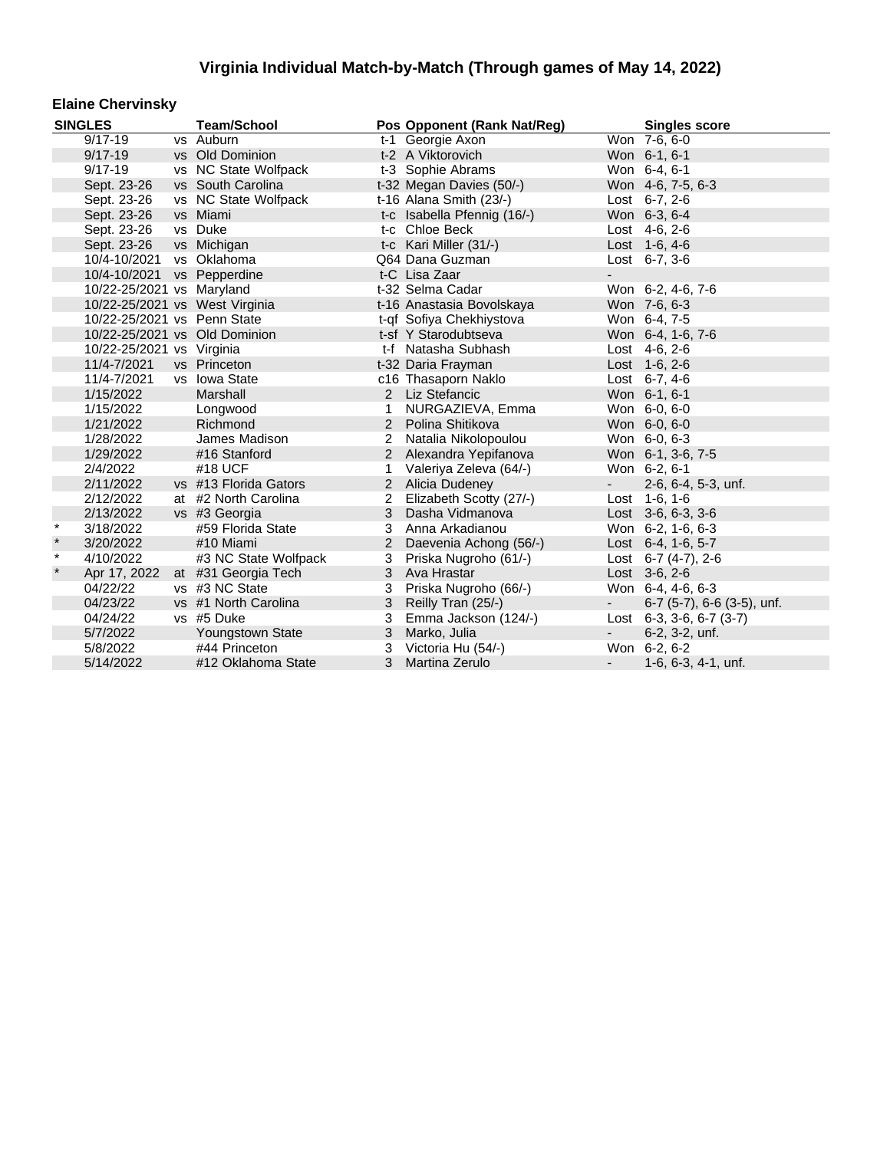#### **Elaine Chervinsky**

|         | <b>SINGLES</b>                 | <b>Team/School</b>    |                | Pos Opponent (Rank Nat/Reg) |                          | <b>Singles score</b>           |
|---------|--------------------------------|-----------------------|----------------|-----------------------------|--------------------------|--------------------------------|
|         | $9/17 - 19$                    | vs Auburn             |                | t-1 Georgie Axon            |                          | Won 7-6, 6-0                   |
|         | $9/17 - 19$                    | vs Old Dominion       |                | t-2 A Viktorovich           |                          | Won 6-1, 6-1                   |
|         | $9/17 - 19$                    | vs NC State Wolfpack  |                | t-3 Sophie Abrams           |                          | Won 6-4, 6-1                   |
|         | Sept. 23-26                    | vs South Carolina     |                | t-32 Megan Davies (50/-)    |                          | Won 4-6, 7-5, 6-3              |
|         | Sept. 23-26                    | vs NC State Wolfpack  |                | t-16 Alana Smith (23/-)     |                          | Lost $6-7, 2-6$                |
|         | Sept. 23-26                    | vs Miami              |                | t-c Isabella Pfennig (16/-) |                          | Won 6-3, 6-4                   |
|         | Sept. 23-26                    | vs Duke               |                | t-c Chloe Beck              |                          | Lost 4-6, 2-6                  |
|         | Sept. 23-26                    | vs Michigan           |                | t-c Kari Miller (31/-)      |                          | Lost 1-6, 4-6                  |
|         | 10/4-10/2021                   | vs Oklahoma           |                | Q64 Dana Guzman             |                          | Lost $6-7, 3-6$                |
|         | 10/4-10/2021                   | vs Pepperdine         |                | t-C Lisa Zaar               |                          |                                |
|         | 10/22-25/2021 vs Maryland      |                       |                | t-32 Selma Cadar            |                          | Won 6-2, 4-6, 7-6              |
|         | 10/22-25/2021 vs West Virginia |                       |                | t-16 Anastasia Bovolskaya   |                          | Won 7-6, 6-3                   |
|         | 10/22-25/2021 vs Penn State    |                       |                | t-qf Sofiya Chekhiystova    |                          | Won 6-4, 7-5                   |
|         | 10/22-25/2021 vs Old Dominion  |                       |                | t-sf Y Starodubtseva        |                          | Won 6-4, 1-6, 7-6              |
|         | 10/22-25/2021 vs Virginia      |                       |                | t-f Natasha Subhash         |                          | Lost 4-6, 2-6                  |
|         | 11/4-7/2021                    | vs Princeton          |                | t-32 Daria Frayman          |                          | Lost $1-6, 2-6$                |
|         | 11/4-7/2021                    | vs Iowa State         |                | c16 Thasaporn Naklo         |                          | Lost $6-7, 4-6$                |
|         | 1/15/2022                      | Marshall              |                | 2 Liz Stefancic             |                          | Won 6-1, 6-1                   |
|         | 1/15/2022                      | Longwood              | 1              | NURGAZIEVA, Emma            |                          | Won 6-0, 6-0                   |
|         | 1/21/2022                      | Richmond              | 2              | Polina Shitikova            |                          | Won 6-0, 6-0                   |
|         | 1/28/2022                      | James Madison         | 2              | Natalia Nikolopoulou        |                          | Won 6-0, 6-3                   |
|         | 1/29/2022                      | #16 Stanford          | $\overline{2}$ | Alexandra Yepifanova        |                          | Won 6-1, 3-6, 7-5              |
|         | 2/4/2022                       | #18 UCF               | 1              | Valeriya Zeleva (64/-)      |                          | Won 6-2, 6-1                   |
|         | 2/11/2022                      | vs #13 Florida Gators | $\overline{2}$ | Alicia Dudeney              | - 11                     | 2-6, 6-4, 5-3, unf.            |
|         | 2/12/2022                      | at #2 North Carolina  | $\overline{2}$ | Elizabeth Scotty (27/-)     |                          | Lost 1-6, 1-6                  |
|         | 2/13/2022                      | vs #3 Georgia         | 3              | Dasha Vidmanova             |                          | Lost 3-6, 6-3, 3-6             |
| $\star$ | 3/18/2022                      | #59 Florida State     | 3              | Anna Arkadianou             |                          | Won 6-2, 1-6, 6-3              |
| $\star$ | 3/20/2022                      | #10 Miami             | 2              | Daevenia Achong (56/-)      |                          | Lost 6-4, 1-6, 5-7             |
| $\star$ | 4/10/2022                      | #3 NC State Wolfpack  | 3              | Priska Nugroho (61/-)       |                          | Lost 6-7 (4-7), 2-6            |
| $\star$ | Apr 17, 2022                   | at #31 Georgia Tech   | 3              | Ava Hrastar                 |                          | Lost $3-6, 2-6$                |
|         | 04/22/22                       | vs #3 NC State        | 3              | Priska Nugroho (66/-)       |                          | Won 6-4, 4-6, 6-3              |
|         | 04/23/22                       | vs #1 North Carolina  | 3              | Reilly Tran (25/-)          | $\sim$                   | $6-7$ (5-7), $6-6$ (3-5), unf. |
|         | 04/24/22                       | vs #5 Duke            | 3              | Emma Jackson (124/-)        |                          | Lost 6-3, 3-6, 6-7 (3-7)       |
|         | 5/7/2022                       | Youngstown State      | 3              | Marko, Julia                | $\overline{\phantom{a}}$ | $6-2$ , $3-2$ , unf.           |
|         | 5/8/2022                       | #44 Princeton         | 3              | Victoria Hu (54/-)          |                          | Won 6-2, 6-2                   |
|         | 5/14/2022                      | #12 Oklahoma State    | 3 <sup>1</sup> | Martina Zerulo              |                          | $1-6, 6-3, 4-1, \text{unf.}$   |
|         |                                |                       |                |                             |                          |                                |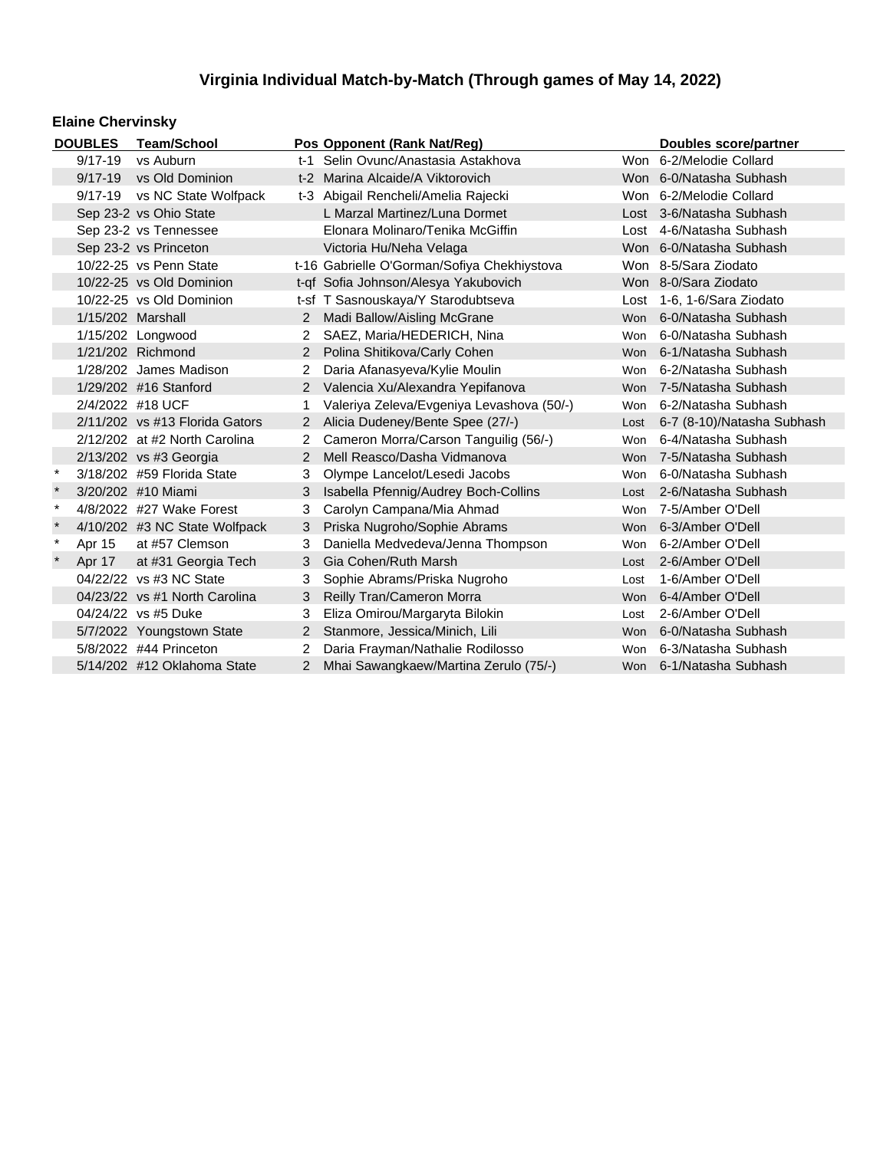### **Elaine Chervinsky**

|                             | <b>DOUBLES</b>         | <b>Team/School</b>               |                | Pos Opponent (Rank Nat/Req)                 |            | Doubles score/partner      |
|-----------------------------|------------------------|----------------------------------|----------------|---------------------------------------------|------------|----------------------------|
|                             | $9/17 - 19$            | vs Auburn                        |                | t-1 Selin Ovunc/Anastasia Astakhova         |            | Won 6-2/Melodie Collard    |
|                             | $9/17 - 19$            | vs Old Dominion                  |                | t-2 Marina Alcaide/A Viktorovich            |            | Won 6-0/Natasha Subhash    |
|                             | $9/17 - 19$            | vs NC State Wolfpack             |                | t-3 Abigail Rencheli/Amelia Rajecki         |            | Won 6-2/Melodie Collard    |
|                             |                        | Sep 23-2 vs Ohio State           |                | L Marzal Martinez/Luna Dormet               |            | Lost 3-6/Natasha Subhash   |
|                             |                        | Sep 23-2 vs Tennessee            |                | Elonara Molinaro/Tenika McGiffin            |            | Lost 4-6/Natasha Subhash   |
|                             |                        | Sep 23-2 vs Princeton            |                | Victoria Hu/Neha Velaga                     |            | Won 6-0/Natasha Subhash    |
|                             |                        | 10/22-25 vs Penn State           |                | t-16 Gabrielle O'Gorman/Sofiya Chekhiystova |            | Won 8-5/Sara Ziodato       |
|                             |                        | 10/22-25 vs Old Dominion         |                | t-qf Sofia Johnson/Alesya Yakubovich        |            | Won 8-0/Sara Ziodato       |
|                             |                        | 10/22-25 vs Old Dominion         |                | t-sf T Sasnouskaya/Y Starodubtseva          |            | Lost 1-6, 1-6/Sara Ziodato |
|                             | 1/15/202 Marshall      |                                  |                | Madi Ballow/Aisling McGrane                 | <b>Won</b> | 6-0/Natasha Subhash        |
|                             |                        | 1/15/202 Longwood                | 2              | SAEZ, Maria/HEDERICH, Nina                  | Won        | 6-0/Natasha Subhash        |
|                             |                        | 1/21/202 Richmond                | $\overline{2}$ | Polina Shitikova/Carly Cohen                | <b>Won</b> | 6-1/Natasha Subhash        |
|                             |                        | 1/28/202 James Madison           |                | Daria Afanasyeva/Kylie Moulin               | Won        | 6-2/Natasha Subhash        |
|                             |                        | 1/29/202 #16 Stanford            |                | 2 Valencia Xu/Alexandra Yepifanova          | <b>Won</b> | 7-5/Natasha Subhash        |
|                             |                        | 2/4/2022 #18 UCF                 |                | Valeriya Zeleva/Evgeniya Levashova (50/-)   | Won        | 6-2/Natasha Subhash        |
|                             |                        | $2/11/202$ vs #13 Florida Gators | 2              | Alicia Dudeney/Bente Spee (27/-)            | Lost       | 6-7 (8-10)/Natasha Subhash |
|                             |                        | 2/12/202 at #2 North Carolina    | 2              | Cameron Morra/Carson Tanguilig (56/-)       | Won        | 6-4/Natasha Subhash        |
|                             |                        | 2/13/202 vs #3 Georgia           | $\mathcal{P}$  | Mell Reasco/Dasha Vidmanova                 | Won        | 7-5/Natasha Subhash        |
| $\ast$                      |                        | 3/18/202 #59 Florida State       | 3              | Olympe Lancelot/Lesedi Jacobs               | Won        | 6-0/Natasha Subhash        |
|                             |                        | 3/20/202 #10 Miami               | 3              | Isabella Pfennig/Audrey Boch-Collins        | Lost       | 2-6/Natasha Subhash        |
| $\star$                     |                        | 4/8/2022 #27 Wake Forest         | 3              | Carolyn Campana/Mia Ahmad                   | Won        | 7-5/Amber O'Dell           |
| $\star$                     |                        | 4/10/202 #3 NC State Wolfpack    | 3              | Priska Nugroho/Sophie Abrams                | Won        | 6-3/Amber O'Dell           |
| $\pmb{\star}$               | Apr 15                 | at #57 Clemson                   | 3              | Daniella Medvedeva/Jenna Thompson           | Won        | 6-2/Amber O'Dell           |
|                             | Apr 17                 | at #31 Georgia Tech              | 3              | Gia Cohen/Ruth Marsh                        | Lost       | 2-6/Amber O'Dell           |
|                             |                        | 04/22/22 vs #3 NC State          | 3              | Sophie Abrams/Priska Nugroho                | Lost       | 1-6/Amber O'Dell           |
|                             |                        | 04/23/22 vs #1 North Carolina    | 3              | Reilly Tran/Cameron Morra                   | Won        | 6-4/Amber O'Dell           |
|                             |                        | 04/24/22 vs #5 Duke              | 3              | Eliza Omirou/Margaryta Bilokin              | Lost       | 2-6/Amber O'Dell           |
|                             |                        | 5/7/2022 Youngstown State<br>2   |                | Stanmore, Jessica/Minich, Lili              |            | 6-0/Natasha Subhash        |
|                             | 5/8/2022 #44 Princeton |                                  | $\overline{2}$ | Daria Frayman/Nathalie Rodilosso            | <b>Won</b> | 6-3/Natasha Subhash        |
| 5/14/202 #12 Oklahoma State |                        |                                  | $\overline{2}$ | Mhai Sawangkaew/Martina Zerulo (75/-)       |            | Won 6-1/Natasha Subhash    |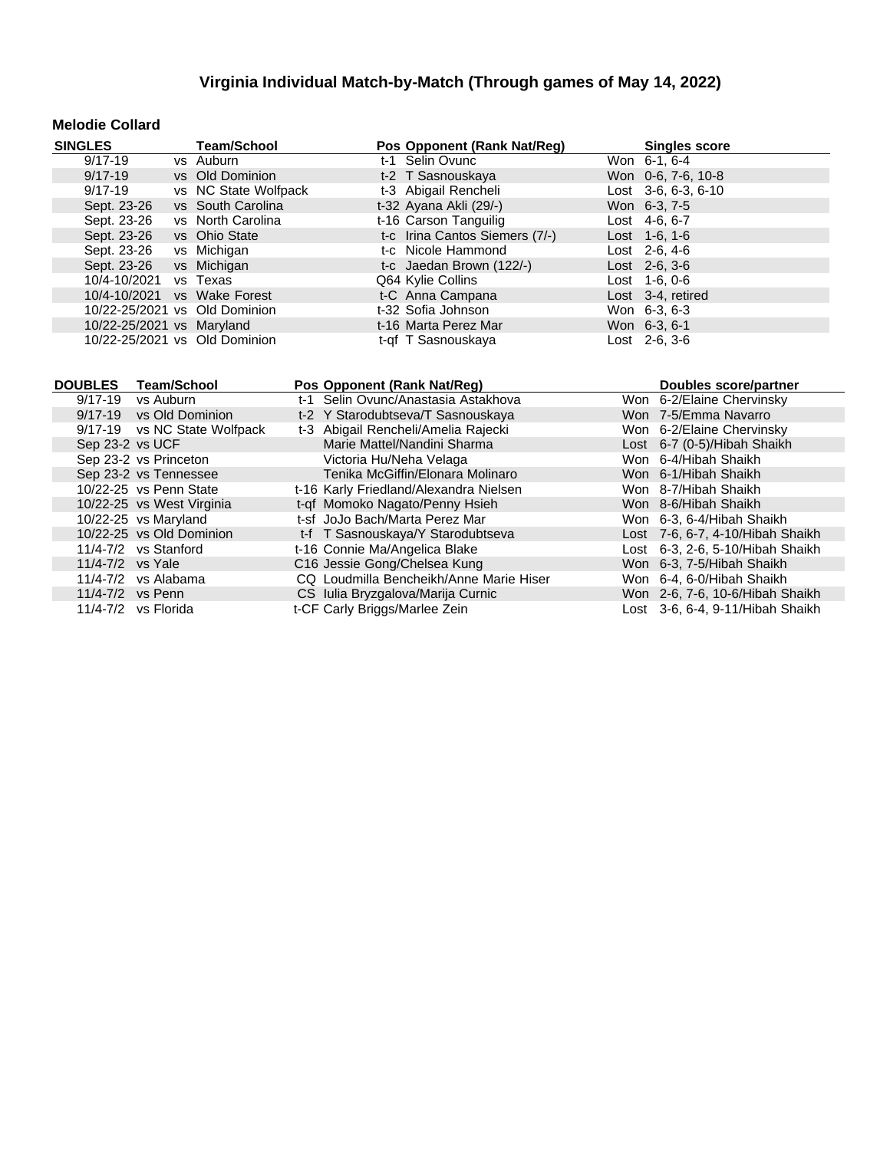#### **Melodie Collard**

| <b>SINGLES</b>                | <b>Team/School</b>   | Pos Opponent (Rank Nat/Reg)    | <b>Singles score</b>  |
|-------------------------------|----------------------|--------------------------------|-----------------------|
| $9/17 - 19$                   | vs Auburn            | t-1 Selin Ovunc                | Won 6-1, 6-4          |
| $9/17 - 19$                   | vs Old Dominion      | t-2 T Sasnouskaya              | Won 0-6, 7-6, 10-8    |
| $9/17 - 19$                   | vs NC State Wolfpack | t-3 Abigail Rencheli           | Lost $3-6, 6-3, 6-10$ |
| Sept. 23-26                   | vs South Carolina    | t-32 Ayana Akli (29/-)         | Won 6-3, 7-5          |
| Sept. 23-26                   | vs North Carolina    | t-16 Carson Tanguilig          | Lost $4-6, 6-7$       |
| Sept. 23-26                   | vs Ohio State        | t-c Irina Cantos Siemers (7/-) | Lost 1-6, 1-6         |
| Sept. 23-26                   | vs Michigan          | t-c Nicole Hammond             | Lost $2-6, 4-6$       |
| Sept. 23-26                   | vs Michigan          | t-c Jaedan Brown (122/-)       | $Last \, 2-6, 3-6$    |
| 10/4-10/2021                  | vs Texas             | Q64 Kylie Collins              | $Last 1-6, 0-6$       |
| 10/4-10/2021                  | vs Wake Forest       | t-C Anna Campana               | Lost 3-4, retired     |
| 10/22-25/2021 vs Old Dominion |                      | t-32 Sofia Johnson             | Won 6-3, 6-3          |
| 10/22-25/2021 vs Maryland     |                      | t-16 Marta Perez Mar           | Won 6-3, 6-1          |
| 10/22-25/2021 vs Old Dominion |                      | t-qf T Sasnouskaya             | Lost 2-6, 3-6         |

| <b>DOUBLES</b> | <b>Team/School</b>           | Pos Opponent (Rank Nat/Reg)             | <b>Doubles score/partner</b>     |
|----------------|------------------------------|-----------------------------------------|----------------------------------|
| $9/17 - 19$    | vs Auburn                    | t-1 Selin Ovunc/Anastasia Astakhova     | Won 6-2/Elaine Chervinsky        |
|                | 9/17-19 vs Old Dominion      | t-2 Y Starodubtseva/T Sasnouskaya       | Won 7-5/Emma Navarro             |
|                | 9/17-19 vs NC State Wolfpack | t-3 Abigail Rencheli/Amelia Rajecki     | Won 6-2/Elaine Chervinsky        |
|                | Sep 23-2 vs UCF              | Marie Mattel/Nandini Sharma             | Lost 6-7 (0-5)/Hibah Shaikh      |
|                | Sep 23-2 vs Princeton        | Victoria Hu/Neha Velaga                 | Won 6-4/Hibah Shaikh             |
|                | Sep 23-2 vs Tennessee        | Tenika McGiffin/Elonara Molinaro        | Won 6-1/Hibah Shaikh             |
|                | 10/22-25 vs Penn State       | t-16 Karly Friedland/Alexandra Nielsen  | Won 8-7/Hibah Shaikh             |
|                | 10/22-25 vs West Virginia    | t-qf Momoko Nagato/Penny Hsieh          | Won 8-6/Hibah Shaikh             |
|                | 10/22-25 vs Maryland         | t-sf JoJo Bach/Marta Perez Mar          | Won 6-3, 6-4/Hibah Shaikh        |
|                | 10/22-25 vs Old Dominion     | t-f T Sasnouskaya/Y Starodubtseva       | Lost 7-6, 6-7, 4-10/Hibah Shaikh |
|                | $11/4 - 7/2$ vs Stanford     | t-16 Connie Ma/Angelica Blake           | Lost 6-3, 2-6, 5-10/Hibah Shaikh |
|                | 11/4-7/2 vs Yale             | C16 Jessie Gong/Chelsea Kung            | Won 6-3, 7-5/Hibah Shaikh        |
|                | $11/4 - 7/2$ vs Alabama      | CQ Loudmilla Bencheikh/Anne Marie Hiser | Won 6-4, 6-0/Hibah Shaikh        |
|                | 11/4-7/2 vs Penn             | CS Iulia Bryzgalova/Marija Curnic       | Won 2-6, 7-6, 10-6/Hibah Shaikh  |
|                | 11/4-7/2 vs Florida          | t-CF Carly Briggs/Marlee Zein           | Lost 3-6, 6-4, 9-11/Hibah Shaikh |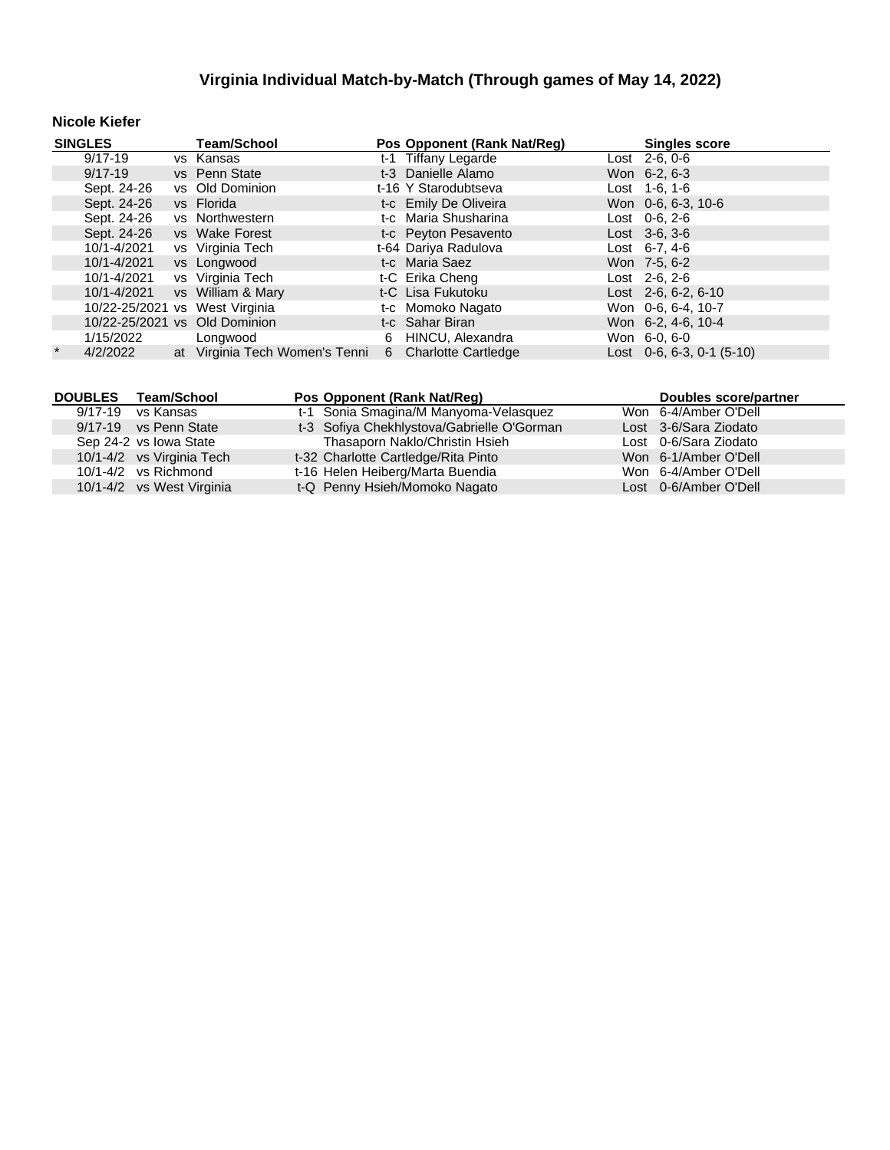### **Nicole Kiefer**

| <b>SINGLES</b> |             | <b>Team/School</b>             |   | Pos Opponent (Rank Nat/Reg) | <b>Singles score</b> |                                   |
|----------------|-------------|--------------------------------|---|-----------------------------|----------------------|-----------------------------------|
|                | 9/17-19     | vs Kansas                      |   | t-1 Tiffany Legarde         |                      | $\overline{\text{Last}}$ 2-6, 0-6 |
|                | $9/17 - 19$ | vs Penn State                  |   | t-3 Danielle Alamo          |                      | Won 6-2, 6-3                      |
|                | Sept. 24-26 | vs Old Dominion                |   | t-16 Y Starodubtseva        |                      | Lost $1-6$ , $1-6$                |
|                | Sept. 24-26 | vs Florida                     |   | t-c Emily De Oliveira       |                      | Won 0-6, 6-3, 10-6                |
|                | Sept. 24-26 | vs Northwestern                |   | t-c Maria Shusharina        |                      | Lost $0-6, 2-6$                   |
|                | Sept. 24-26 | vs Wake Forest                 |   | t-c Peyton Pesavento        |                      | $Last \, 3-6, 3-6$                |
|                | 10/1-4/2021 | vs Virginia Tech               |   | t-64 Dariya Radulova        |                      | Lost $6-7.4-6$                    |
|                | 10/1-4/2021 | vs Longwood                    |   | t-c Maria Saez              |                      | Won 7-5, 6-2                      |
|                | 10/1-4/2021 | vs Virginia Tech               |   | t-C Erika Cheng             |                      | $Last 2-6, 2-6$                   |
|                | 10/1-4/2021 | vs William & Mary              |   | t-C Lisa Fukutoku           |                      | Lost $2-6, 6-2, 6-10$             |
|                |             | 10/22-25/2021 vs West Virginia |   | t-c Momoko Nagato           |                      | Won 0-6, 6-4, 10-7                |
|                |             | 10/22-25/2021 vs Old Dominion  |   | t-c Sahar Biran             |                      | Won 6-2, 4-6, 10-4                |
|                | 1/15/2022   | Longwood                       | 6 | HINCU, Alexandra            |                      | Won 6-0, 6-0                      |
| $\star$        | 4/2/2022    | at Virginia Tech Women's Tenni |   | 6 Charlotte Cartledge       |                      | Lost $0-6, 6-3, 0-1$ (5-10)       |

|         | DOUBLES Team/School       | Pos Opponent (Rank Nat/Req)                | Doubles score/partner |
|---------|---------------------------|--------------------------------------------|-----------------------|
| 9/17-19 | vs Kansas                 | t-1 Sonia Smagina/M Manyoma-Velasquez      | Won 6-4/Amber O'Dell  |
|         | 9/17-19 vs Penn State     | t-3 Sofiya Chekhlystova/Gabrielle O'Gorman | Lost 3-6/Sara Ziodato |
|         | Sep 24-2 vs Iowa State    | Thasaporn Naklo/Christin Hsieh             | Lost 0-6/Sara Ziodato |
|         | 10/1-4/2 vs Virginia Tech | t-32 Charlotte Cartledge/Rita Pinto        | Won 6-1/Amber O'Dell  |
|         | $10/1 - 4/2$ vs Richmond  | t-16 Helen Heiberg/Marta Buendia           | Won 6-4/Amber O'Dell  |
|         | 10/1-4/2 vs West Virginia | t-Q Penny Hsieh/Momoko Nagato              | Lost 0-6/Amber O'Dell |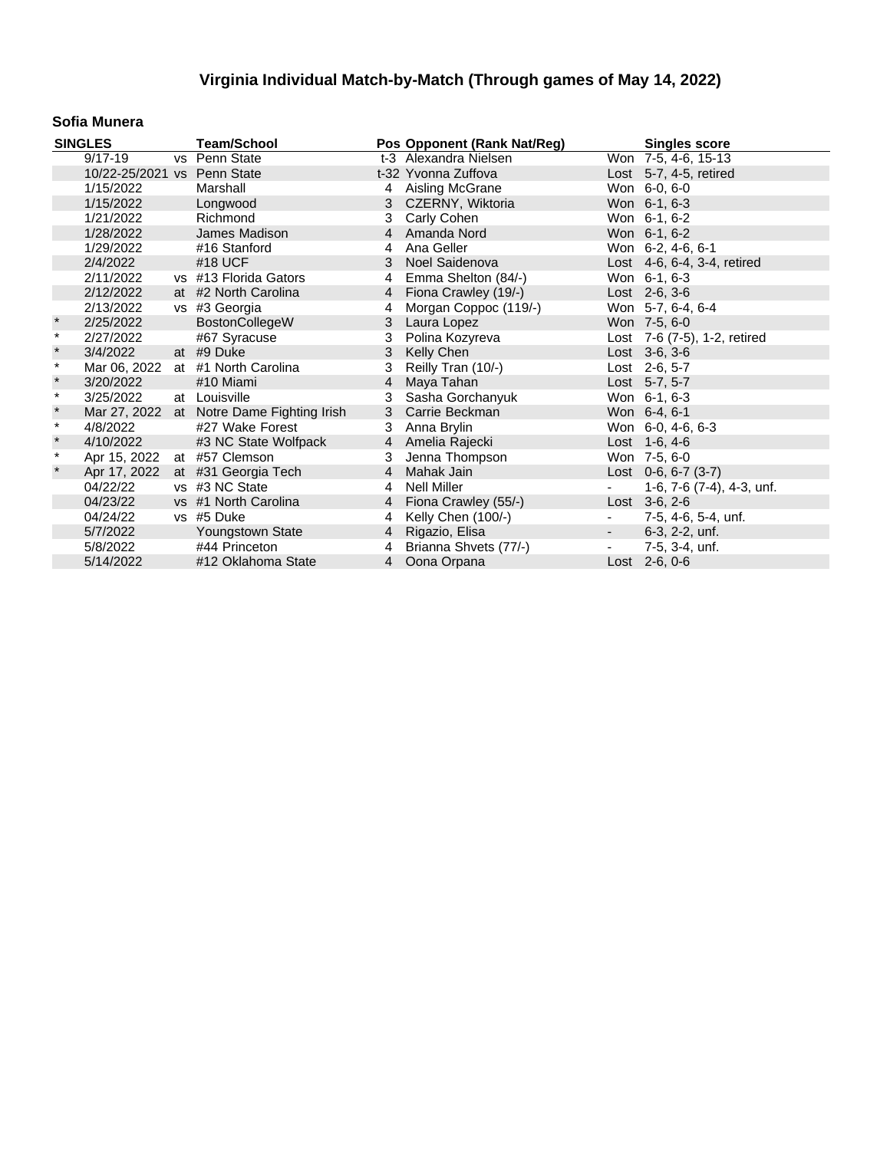#### **Sofia Munera**

|         | <b>SINGLES</b>              | <b>Team/School</b>                        |                | Pos Opponent (Rank Nat/Reg) |                          | <b>Singles score</b>         |
|---------|-----------------------------|-------------------------------------------|----------------|-----------------------------|--------------------------|------------------------------|
|         | $9/17 - 19$                 | vs Penn State                             |                | t-3 Alexandra Nielsen       |                          | Won 7-5, 4-6, 15-13          |
|         | 10/22-25/2021 vs Penn State |                                           |                | t-32 Yvonna Zuffova         |                          | Lost $5-7$ , 4-5, retired    |
|         | 1/15/2022                   | Marshall                                  |                | 4 Aisling McGrane           |                          | Won 6-0, 6-0                 |
|         | 1/15/2022                   | Longwood                                  |                | 3 CZERNY, Wiktoria          |                          | Won 6-1, 6-3                 |
|         | 1/21/2022                   | Richmond                                  | 3              | Carly Cohen                 |                          | Won 6-1, 6-2                 |
|         | 1/28/2022                   | James Madison                             |                | 4 Amanda Nord               |                          | Won 6-1, 6-2                 |
|         | 1/29/2022                   | #16 Stanford                              | 4              | Ana Geller                  |                          | Won 6-2, 4-6, 6-1            |
|         | 2/4/2022                    | #18 UCF                                   | 3              | Noel Saidenova              |                          | Lost 4-6, 6-4, 3-4, retired  |
|         | 2/11/2022                   | vs #13 Florida Gators                     | 4              | Emma Shelton (84/-)         |                          | Won 6-1, 6-3                 |
|         | 2/12/2022                   | at #2 North Carolina                      | $\overline{4}$ | Fiona Crawley (19/-)        |                          | Lost $2-6, 3-6$              |
|         | 2/13/2022                   | vs #3 Georgia                             | 4              | Morgan Coppoc (119/-)       |                          | Won 5-7, 6-4, 6-4            |
| $\ast$  | 2/25/2022                   | BostonCollegeW                            | 3              | Laura Lopez                 |                          | Won 7-5, 6-0                 |
| $\star$ | 2/27/2022                   | #67 Syracuse                              | 3              | Polina Kozyreva             |                          | Lost 7-6 (7-5), 1-2, retired |
| $\star$ | 3/4/2022                    | at #9 Duke                                | 3              | Kelly Chen                  |                          | Lost $3-6, 3-6$              |
| $\star$ | Mar 06, 2022                | at #1 North Carolina                      | 3              | Reilly Tran (10/-)          |                          | Lost 2-6, 5-7                |
| $\star$ | 3/20/2022                   | #10 Miami                                 | 4              | Maya Tahan                  |                          | Lost 5-7, 5-7                |
| $\star$ | 3/25/2022                   | at Louisville                             | 3              | Sasha Gorchanyuk            |                          | Won 6-1, 6-3                 |
| $\star$ |                             | Mar 27, 2022 at Notre Dame Fighting Irish | 3              | Carrie Beckman              |                          | Won 6-4, 6-1                 |
| $\star$ | 4/8/2022                    | #27 Wake Forest                           | 3              | Anna Brylin                 |                          | Won 6-0, 4-6, 6-3            |
| $\star$ | 4/10/2022                   | #3 NC State Wolfpack                      |                | 4 Amelia Rajecki            |                          | Lost $1-6, 4-6$              |
| $\star$ | Apr 15, 2022 at #57 Clemson |                                           | 3              | Jenna Thompson              |                          | Won 7-5, 6-0                 |
| $\star$ | Apr 17, 2022                | at #31 Georgia Tech                       | $\overline{4}$ | Mahak Jain                  |                          | Lost $0-6, 6-7(3-7)$         |
|         | 04/22/22                    | vs #3 NC State                            | 4              | Nell Miller                 |                          | 1-6, 7-6 (7-4), 4-3, unf.    |
|         | 04/23/22                    | vs #1 North Carolina                      |                | 4 Fiona Crawley (55/-)      |                          | Lost $3-6, 2-6$              |
|         | 04/24/22                    | vs #5 Duke                                | 4              | Kelly Chen (100/-)          | $\blacksquare$           | 7-5, 4-6, 5-4, unf.          |
|         | 5/7/2022                    | <b>Youngstown State</b>                   | $4 \quad$      | Rigazio, Elisa              | $\sim$                   | 6-3, 2-2, unf.               |
|         | 5/8/2022                    | #44 Princeton                             | 4              | Brianna Shvets (77/-)       | $\overline{\phantom{a}}$ | 7-5, 3-4, unf.               |
|         | 5/14/2022                   | #12 Oklahoma State                        |                | 4 Oona Orpana               |                          | Lost 2-6, 0-6                |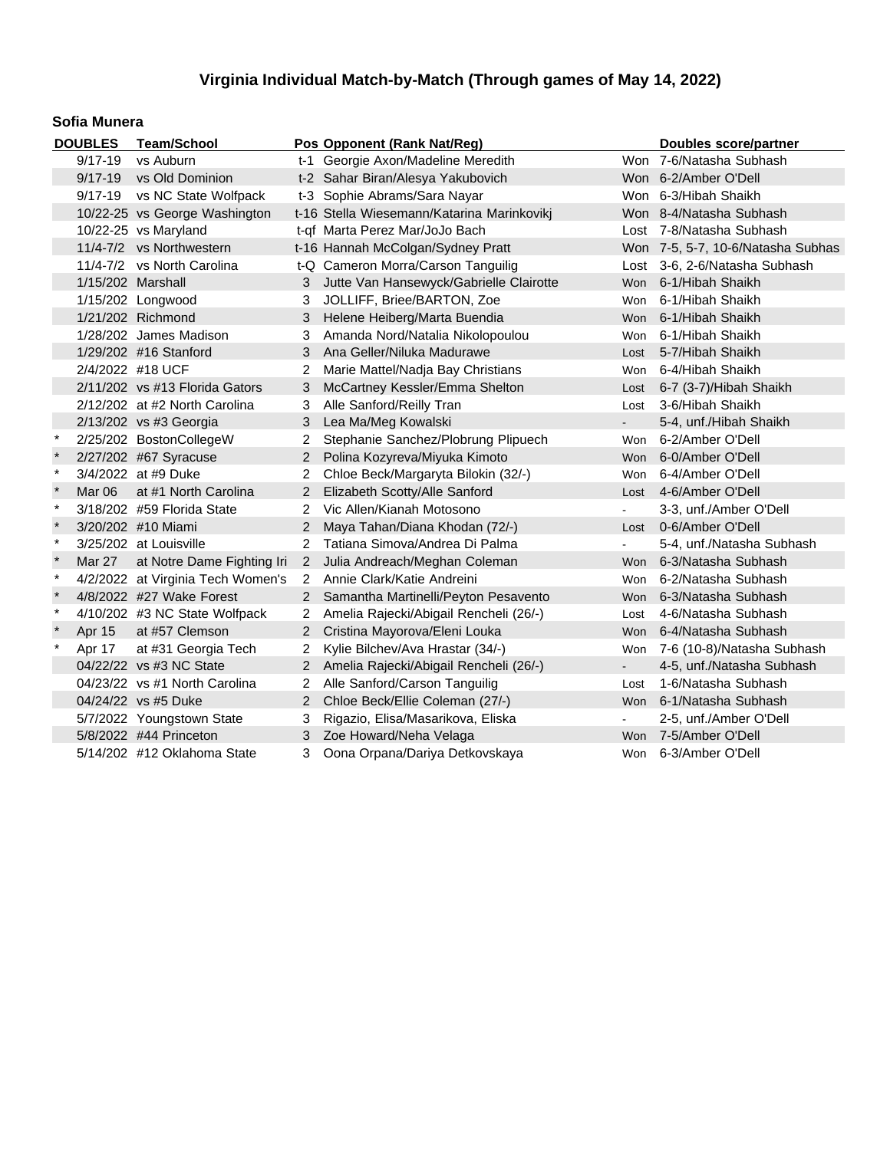#### **Sofia Munera**

| <b>DOUBLES</b> |                          | <b>Team/School</b>                |                | Pos Opponent (Rank Nat/Reg)                |                | Doubles score/partner             |
|----------------|--------------------------|-----------------------------------|----------------|--------------------------------------------|----------------|-----------------------------------|
|                | $9/17 - 19$              | vs Auburn                         |                | t-1 Georgie Axon/Madeline Meredith         |                | Won 7-6/Natasha Subhash           |
|                | $9/17 - 19$              | vs Old Dominion                   |                | t-2 Sahar Biran/Alesya Yakubovich          |                | Won 6-2/Amber O'Dell              |
|                | $9/17 - 19$              | vs NC State Wolfpack              |                | t-3 Sophie Abrams/Sara Nayar               |                | Won 6-3/Hibah Shaikh              |
|                |                          | 10/22-25 vs George Washington     |                | t-16 Stella Wiesemann/Katarina Marinkovikj |                | Won 8-4/Natasha Subhash           |
|                |                          | 10/22-25 vs Maryland              |                | t-qf Marta Perez Mar/JoJo Bach             |                | Lost 7-8/Natasha Subhash          |
|                | 11/4-7/2 vs Northwestern |                                   |                | t-16 Hannah McColgan/Sydney Pratt          |                | Won 7-5, 5-7, 10-6/Natasha Subhas |
|                |                          | 11/4-7/2 vs North Carolina        |                | t-Q Cameron Morra/Carson Tanguilig         |                | Lost 3-6, 2-6/Natasha Subhash     |
|                | 1/15/202 Marshall        |                                   | 3              | Jutte Van Hansewyck/Gabrielle Clairotte    | <b>Won</b>     | 6-1/Hibah Shaikh                  |
|                |                          | 1/15/202 Longwood                 | 3              | JOLLIFF, Briee/BARTON, Zoe                 | Won            | 6-1/Hibah Shaikh                  |
|                |                          | 1/21/202 Richmond                 | 3              | Helene Heiberg/Marta Buendia               |                | Won 6-1/Hibah Shaikh              |
|                |                          | 1/28/202 James Madison            | 3              | Amanda Nord/Natalia Nikolopoulou           | Won            | 6-1/Hibah Shaikh                  |
|                |                          | 1/29/202 #16 Stanford             | 3              | Ana Geller/Niluka Madurawe                 | Lost           | 5-7/Hibah Shaikh                  |
|                |                          | 2/4/2022 #18 UCF                  | 2              | Marie Mattel/Nadja Bay Christians          | Won            | 6-4/Hibah Shaikh                  |
|                |                          | 2/11/202 vs #13 Florida Gators    | 3              | McCartney Kessler/Emma Shelton             | Lost           | 6-7 (3-7)/Hibah Shaikh            |
|                |                          | 2/12/202 at #2 North Carolina     | 3              | Alle Sanford/Reilly Tran                   | Lost           | 3-6/Hibah Shaikh                  |
|                |                          | 2/13/202 vs #3 Georgia            | 3              | Lea Ma/Meg Kowalski                        |                | 5-4, unf./Hibah Shaikh            |
| $\ast$         |                          | 2/25/202 BostonCollegeW           | 2              | Stephanie Sanchez/Plobrung Plipuech        | Won            | 6-2/Amber O'Dell                  |
| $\star$        |                          | 2/27/202 #67 Syracuse             | $\overline{2}$ | Polina Kozyreva/Miyuka Kimoto              | <b>Won</b>     | 6-0/Amber O'Dell                  |
| $\star$        |                          | 3/4/2022 at #9 Duke               | 2              | Chloe Beck/Margaryta Bilokin (32/-)        | Won            | 6-4/Amber O'Dell                  |
| $\star$        | Mar 06                   | at #1 North Carolina              | $\overline{2}$ | Elizabeth Scotty/Alle Sanford              | Lost           | 4-6/Amber O'Dell                  |
| $\star$        |                          | 3/18/202 #59 Florida State        | 2              | Vic Allen/Kianah Motosono                  | $\blacksquare$ | 3-3, unf./Amber O'Dell            |
| $\pmb{\ast}$   |                          | 3/20/202 #10 Miami                | $\overline{2}$ | Maya Tahan/Diana Khodan (72/-)             | Lost           | 0-6/Amber O'Dell                  |
| $\star$        |                          | 3/25/202 at Louisville            | 2              | Tatiana Simova/Andrea Di Palma             |                | 5-4, unf./Natasha Subhash         |
| $\star$        | Mar 27                   | at Notre Dame Fighting Iri        |                | 2 Julia Andreach/Meghan Coleman            |                | Won 6-3/Natasha Subhash           |
| $\star$        |                          | 4/2/2022 at Virginia Tech Women's |                | 2 Annie Clark/Katie Andreini               | <b>Won</b>     | 6-2/Natasha Subhash               |
| $\star$        |                          | 4/8/2022 #27 Wake Forest          |                | 2 Samantha Martinelli/Peyton Pesavento     | <b>Won</b>     | 6-3/Natasha Subhash               |
| $\ast$         |                          | 4/10/202 #3 NC State Wolfpack     |                | Amelia Rajecki/Abigail Rencheli (26/-)     | Lost           | 4-6/Natasha Subhash               |
|                | Apr 15                   | at #57 Clemson                    | $\overline{2}$ | Cristina Mayorova/Eleni Louka              | <b>Won</b>     | 6-4/Natasha Subhash               |
| $\star$        | Apr 17                   | at #31 Georgia Tech               | 2              | Kylie Bilchev/Ava Hrastar (34/-)           | Won            | 7-6 (10-8)/Natasha Subhash        |
|                |                          | 04/22/22 vs #3 NC State           | $2^{\circ}$    | Amelia Rajecki/Abigail Rencheli (26/-)     | $\sim$         | 4-5, unf./Natasha Subhash         |
|                |                          | 04/23/22 vs #1 North Carolina     | 2              | Alle Sanford/Carson Tanguilig              | Lost           | 1-6/Natasha Subhash               |
|                |                          | 04/24/22 vs #5 Duke               | $\overline{2}$ | Chloe Beck/Ellie Coleman (27/-)            | <b>Won</b>     | 6-1/Natasha Subhash               |
|                |                          | 5/7/2022 Youngstown State         | 3              | Rigazio, Elisa/Masarikova, Eliska          |                | 2-5, unf./Amber O'Dell            |
|                |                          | 5/8/2022 #44 Princeton            | 3              | Zoe Howard/Neha Velaga                     | <b>Won</b>     | 7-5/Amber O'Dell                  |
|                |                          | 5/14/202 #12 Oklahoma State       | 3              | Oona Orpana/Dariya Detkovskaya             |                | Won 6-3/Amber O'Dell              |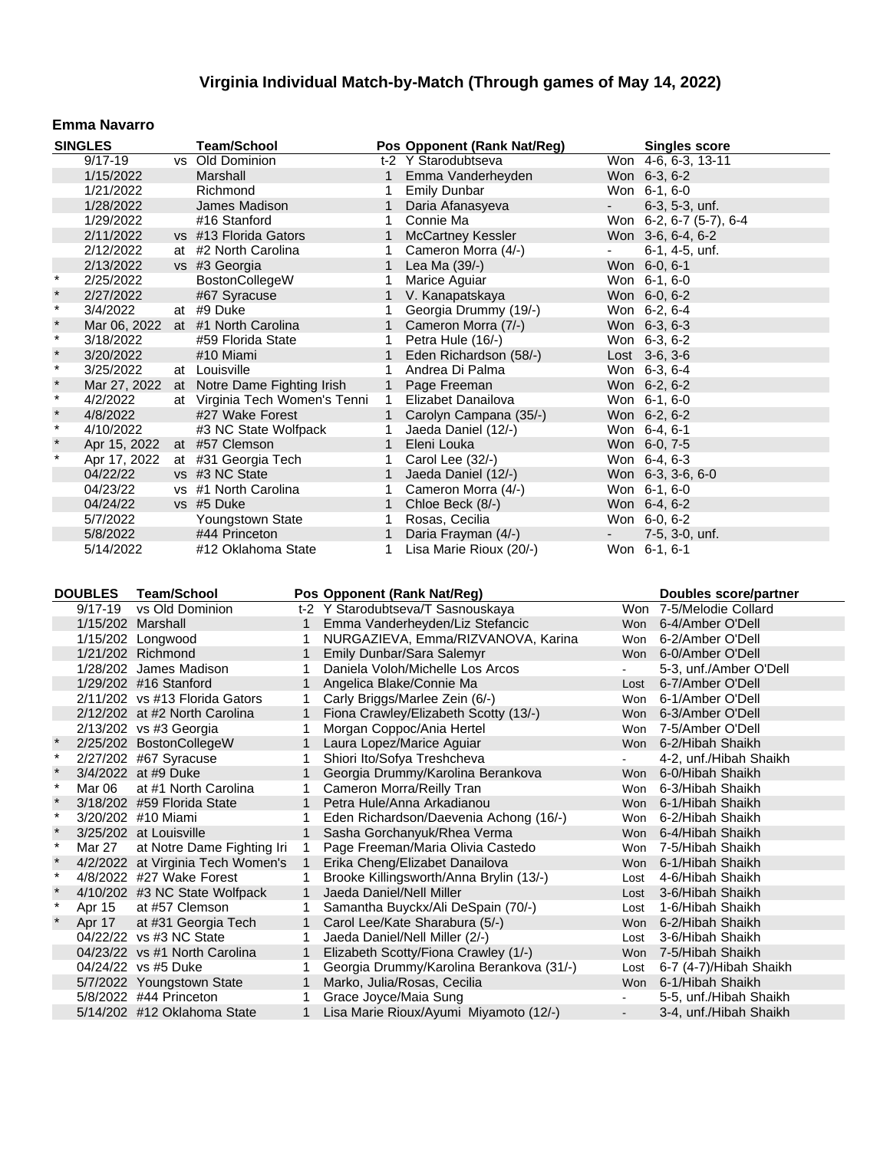#### **Emma Navarro**

|              | <b>SINGLES</b> | <b>Team/School</b>                |              | Pos Opponent (Rank Nat/Reg) |            | <b>Singles score</b>    |
|--------------|----------------|-----------------------------------|--------------|-----------------------------|------------|-------------------------|
|              | $9/17 - 19$    | vs Old Dominion                   |              | t-2 Y Starodubtseva         |            | Won 4-6, 6-3, 13-11     |
|              | 1/15/2022      | Marshall                          |              | Emma Vanderheyden           |            | Won 6-3, 6-2            |
|              | 1/21/2022      | Richmond                          | 1            | <b>Emily Dunbar</b>         |            | Won 6-1, 6-0            |
|              | 1/28/2022      | James Madison                     |              | Daria Afanasyeva            | $\sim$     | $6-3, 5-3, \text{unf.}$ |
|              | 1/29/2022      | #16 Stanford                      | 1            | Connie Ma                   |            | Won 6-2, 6-7 (5-7), 6-4 |
|              | 2/11/2022      | vs #13 Florida Gators             | $\mathbf{1}$ | <b>McCartney Kessler</b>    |            | Won 3-6, 6-4, 6-2       |
|              | 2/12/2022      | at #2 North Carolina              | 1            | Cameron Morra (4/-)         | $\sim 100$ | 6-1, 4-5, unf.          |
|              | 2/13/2022      | vs #3 Georgia                     |              | Lea Ma (39/-)               |            | Won 6-0, 6-1            |
| $\star$      | 2/25/2022      | BostonCollegeW                    |              | Marice Aguiar               |            | Won 6-1, 6-0            |
| $\pmb{\ast}$ | 2/27/2022      | #67 Syracuse                      | 1            | V. Kanapatskaya             |            | Won 6-0, 6-2            |
| $\star$      | 3/4/2022       | at #9 Duke                        |              | Georgia Drummy (19/-)       |            | Won 6-2, 6-4            |
| $\star$      |                | Mar 06, 2022 at #1 North Carolina |              | Cameron Morra (7/-)         |            | Won 6-3, 6-3            |
| $\star$      | 3/18/2022      | #59 Florida State                 | 1            | Petra Hule (16/-)           |            | Won 6-3, 6-2            |
| $\ast$       | 3/20/2022      | #10 Miami                         |              | Eden Richardson (58/-)      |            | Lost 3-6, 3-6           |
| $\star$      | 3/25/2022      | at Louisville                     | 1            | Andrea Di Palma             |            | Won 6-3, 6-4            |
| $\ast$       | Mar 27, 2022   | at Notre Dame Fighting Irish      |              | 1 Page Freeman              |            | Won 6-2, 6-2            |
| $\star$      | 4/2/2022       | at Virginia Tech Women's Tenni    | $\mathbf{1}$ | Elizabet Danailova          |            | Won 6-1, 6-0            |
| $\star$      | 4/8/2022       | #27 Wake Forest                   | $\mathbf{1}$ | Carolyn Campana (35/-)      |            | Won 6-2, 6-2            |
| $\star$      | 4/10/2022      | #3 NC State Wolfpack              | 1            | Jaeda Daniel (12/-)         |            | Won 6-4, 6-1            |
| $\pmb{\ast}$ | Apr 15, 2022   | at #57 Clemson                    | $\mathbf{1}$ | Eleni Louka                 |            | Won 6-0, 7-5            |
| $\star$      | Apr 17, 2022   | at #31 Georgia Tech               |              | Carol Lee (32/-)            |            | Won 6-4, 6-3            |
|              | 04/22/22       | vs #3 NC State                    | $\mathbf{1}$ | Jaeda Daniel (12/-)         |            | Won 6-3, 3-6, 6-0       |
|              | 04/23/22       | vs #1 North Carolina              | 1            | Cameron Morra (4/-)         |            | Won 6-1, 6-0            |
|              | 04/24/22       | vs #5 Duke                        | $\mathbf{1}$ | Chloe Beck (8/-)            |            | Won 6-4, 6-2            |
|              | 5/7/2022       | Youngstown State                  | 1            | Rosas, Cecilia              |            | Won 6-0, 6-2            |
|              | 5/8/2022       | #44 Princeton                     | 1            | Daria Frayman (4/-)         | $\sim$     | 7-5, 3-0, unf.          |
|              | 5/14/2022      | #12 Oklahoma State                | 1            | Lisa Marie Rioux (20/-)     |            | Won 6-1, 6-1            |

| <b>DOUBLES</b> | <b>Team/School</b>                |                | Pos Opponent (Rank Nat/Reg)              |            | Doubles score/partner   |
|----------------|-----------------------------------|----------------|------------------------------------------|------------|-------------------------|
| $9/17 - 19$    | vs Old Dominion                   |                | t-2 Y Starodubtseva/T Sasnouskaya        |            | Won 7-5/Melodie Collard |
|                | 1/15/202 Marshall                 |                | Emma Vanderheyden/Liz Stefancic          | Won        | 6-4/Amber O'Dell        |
|                | 1/15/202 Longwood                 |                | NURGAZIEVA, Emma/RIZVANOVA, Karina       | <b>Won</b> | 6-2/Amber O'Dell        |
|                | 1/21/202 Richmond                 | 1              | Emily Dunbar/Sara Salemyr                | Won        | 6-0/Amber O'Dell        |
|                | 1/28/202 James Madison            |                | Daniela Voloh/Michelle Los Arcos         |            | 5-3, unf./Amber O'Dell  |
|                | 1/29/202 #16 Stanford             |                | Angelica Blake/Connie Ma                 | Lost       | 6-7/Amber O'Dell        |
|                | 2/11/202 vs #13 Florida Gators    |                | Carly Briggs/Marlee Zein (6/-)           | <b>Won</b> | 6-1/Amber O'Dell        |
|                | 2/12/202 at #2 North Carolina     | 1              | Fiona Crawley/Elizabeth Scotty (13/-)    | Won        | 6-3/Amber O'Dell        |
|                | 2/13/202 vs #3 Georgia            | 1              | Morgan Coppoc/Ania Hertel                | Won        | 7-5/Amber O'Dell        |
|                | 2/25/202 BostonCollegeW           | 1              | Laura Lopez/Marice Aguiar                | Won        | 6-2/Hibah Shaikh        |
|                | 2/27/202 #67 Syracuse             |                | Shiori Ito/Sofya Treshcheva              |            | 4-2, unf./Hibah Shaikh  |
|                | 3/4/2022 at #9 Duke               |                | Georgia Drummy/Karolina Berankova        | Won        | 6-0/Hibah Shaikh        |
| Mar 06         | at #1 North Carolina              |                | Cameron Morra/Reilly Tran                | <b>Won</b> | 6-3/Hibah Shaikh        |
|                | 3/18/202 #59 Florida State        | 1              | Petra Hule/Anna Arkadianou               | <b>Won</b> | 6-1/Hibah Shaikh        |
|                | 3/20/202 #10 Miami                |                | Eden Richardson/Daevenia Achong (16/-)   | Won        | 6-2/Hibah Shaikh        |
|                | 3/25/202 at Louisville            | $\mathbf 1$    | Sasha Gorchanyuk/Rhea Verma              | Won        | 6-4/Hibah Shaikh        |
| Mar 27         | at Notre Dame Fighting Iri        | 1              | Page Freeman/Maria Olivia Castedo        | <b>Won</b> | 7-5/Hibah Shaikh        |
|                | 4/2/2022 at Virginia Tech Women's | $\overline{1}$ | Erika Cheng/Elizabet Danailova           | Won        | 6-1/Hibah Shaikh        |
|                | 4/8/2022 #27 Wake Forest          |                | Brooke Killingsworth/Anna Brylin (13/-)  | Lost       | 4-6/Hibah Shaikh        |
|                | 4/10/202 #3 NC State Wolfpack     | 1              | Jaeda Daniel/Nell Miller                 | Lost       | 3-6/Hibah Shaikh        |
| Apr 15         | at #57 Clemson                    |                | Samantha Buyckx/Ali DeSpain (70/-)       | Lost       | 1-6/Hibah Shaikh        |
| Apr 17         | at #31 Georgia Tech               | 1              | Carol Lee/Kate Sharabura (5/-)           | <b>Won</b> | 6-2/Hibah Shaikh        |
|                | 04/22/22 vs #3 NC State           | 1              | Jaeda Daniel/Nell Miller (2/-)           | Lost       | 3-6/Hibah Shaikh        |
|                | 04/23/22 vs #1 North Carolina     | $\mathbf{1}$   | Elizabeth Scotty/Fiona Crawley (1/-)     | <b>Won</b> | 7-5/Hibah Shaikh        |
|                | 04/24/22 vs #5 Duke               |                | Georgia Drummy/Karolina Berankova (31/-) | Lost       | 6-7 (4-7)/Hibah Shaikh  |
|                | 5/7/2022 Youngstown State         | 1              | Marko, Julia/Rosas, Cecilia              | Won        | 6-1/Hibah Shaikh        |
|                | 5/8/2022 #44 Princeton            |                | Grace Joyce/Maia Sung                    |            | 5-5, unf./Hibah Shaikh  |
|                | 5/14/202 #12 Oklahoma State       | 1              | Lisa Marie Rioux/Ayumi Miyamoto (12/-)   |            | 3-4, unf./Hibah Shaikh  |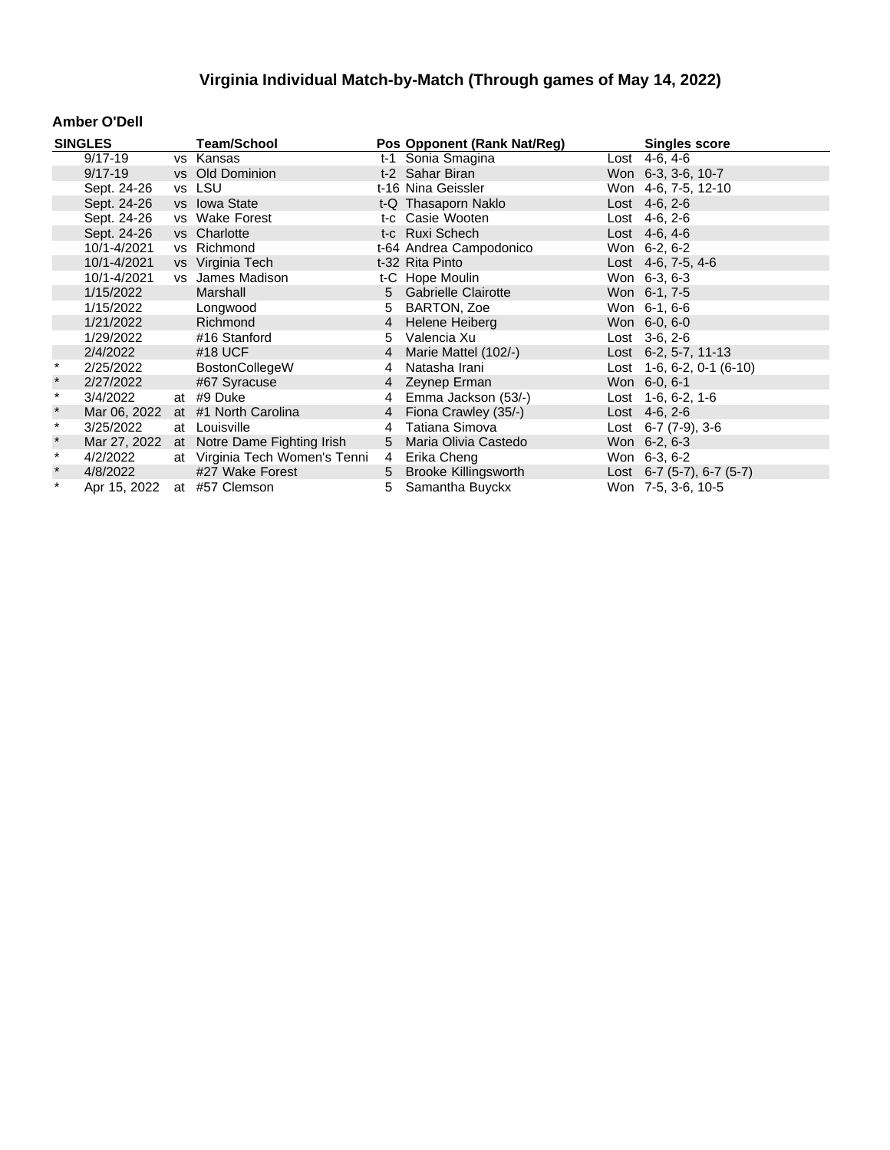#### **Amber O'Dell**

|               | <b>SINGLES</b> | <b>Team/School</b>             |                | Pos Opponent (Rank Nat/Reg) | <b>Singles score</b>        |
|---------------|----------------|--------------------------------|----------------|-----------------------------|-----------------------------|
|               | $9/17 - 19$    | vs Kansas                      |                | t-1 Sonia Smagina           | Lost 4-6, 4-6               |
|               | $9/17 - 19$    | vs Old Dominion                |                | t-2 Sahar Biran             | Won 6-3, 3-6, 10-7          |
|               | Sept. 24-26    | vs LSU                         |                | t-16 Nina Geissler          | Won 4-6, 7-5, 12-10         |
|               | Sept. 24-26    | vs Iowa State                  |                | t-Q Thasaporn Naklo         | Lost $4-6, 2-6$             |
|               | Sept. 24-26    | vs Wake Forest                 |                | t-c Casie Wooten            | Lost 4-6, 2-6               |
|               | Sept. 24-26    | vs Charlotte                   |                | t-c Ruxi Schech             | Lost $4-6, 4-6$             |
|               | 10/1-4/2021    | vs Richmond                    |                | t-64 Andrea Campodonico     | Won 6-2, 6-2                |
|               | 10/1-4/2021    | vs Virginia Tech               |                | t-32 Rita Pinto             | Lost 4-6, 7-5, 4-6          |
|               | 10/1-4/2021    | vs James Madison               |                | t-C Hope Moulin             | Won 6-3, 6-3                |
|               | 1/15/2022      | Marshall                       |                | 5 Gabrielle Clairotte       | Won 6-1, 7-5                |
|               | 1/15/2022      | Longwood                       | 5              | BARTON, Zoe                 | Won 6-1, 6-6                |
|               | 1/21/2022      | Richmond                       | $\overline{4}$ | Helene Heiberg              | Won 6-0, 6-0                |
|               | 1/29/2022      | #16 Stanford                   | 5.             | Valencia Xu                 | $Last 3-6, 2-6$             |
|               | 2/4/2022       | #18 UCF                        | 4              | Marie Mattel (102/-)        | Lost $6-2, 5-7, 11-13$      |
| $\star$       | 2/25/2022      | <b>BostonCollegeW</b>          | 4              | Natasha Irani               | Lost $1-6, 6-2, 0-1$ (6-10) |
| $\star$       | 2/27/2022      | #67 Syracuse                   |                | 4 Zeynep Erman              | Won 6-0, 6-1                |
| $\pmb{\star}$ | 3/4/2022       | at #9 Duke                     |                | 4 Emma Jackson (53/-)       | Lost $1-6, 6-2, 1-6$        |
| $\ast$        | Mar 06, 2022   | at #1 North Carolina           |                | 4 Fiona Crawley (35/-)      | Lost 4-6, 2-6               |
| $\star$       | 3/25/2022      | at Louisville                  | 4              | Tatiana Simova              | Lost $6-7$ $(7-9)$ , $3-6$  |
| $\star$       | Mar 27, 2022   | at Notre Dame Fighting Irish   |                | 5 Maria Olivia Castedo      | Won 6-2, 6-3                |
| $\star$       | 4/2/2022       | at Virginia Tech Women's Tenni | 4              | Erika Cheng                 | Won 6-3, 6-2                |
| $\star$       | 4/8/2022       | #27 Wake Forest                |                | 5 Brooke Killingsworth      | Lost 6-7 (5-7), 6-7 (5-7)   |
| $\star$       | Apr 15, 2022   | at #57 Clemson                 |                | 5 Samantha Buyckx           | Won 7-5, 3-6, 10-5          |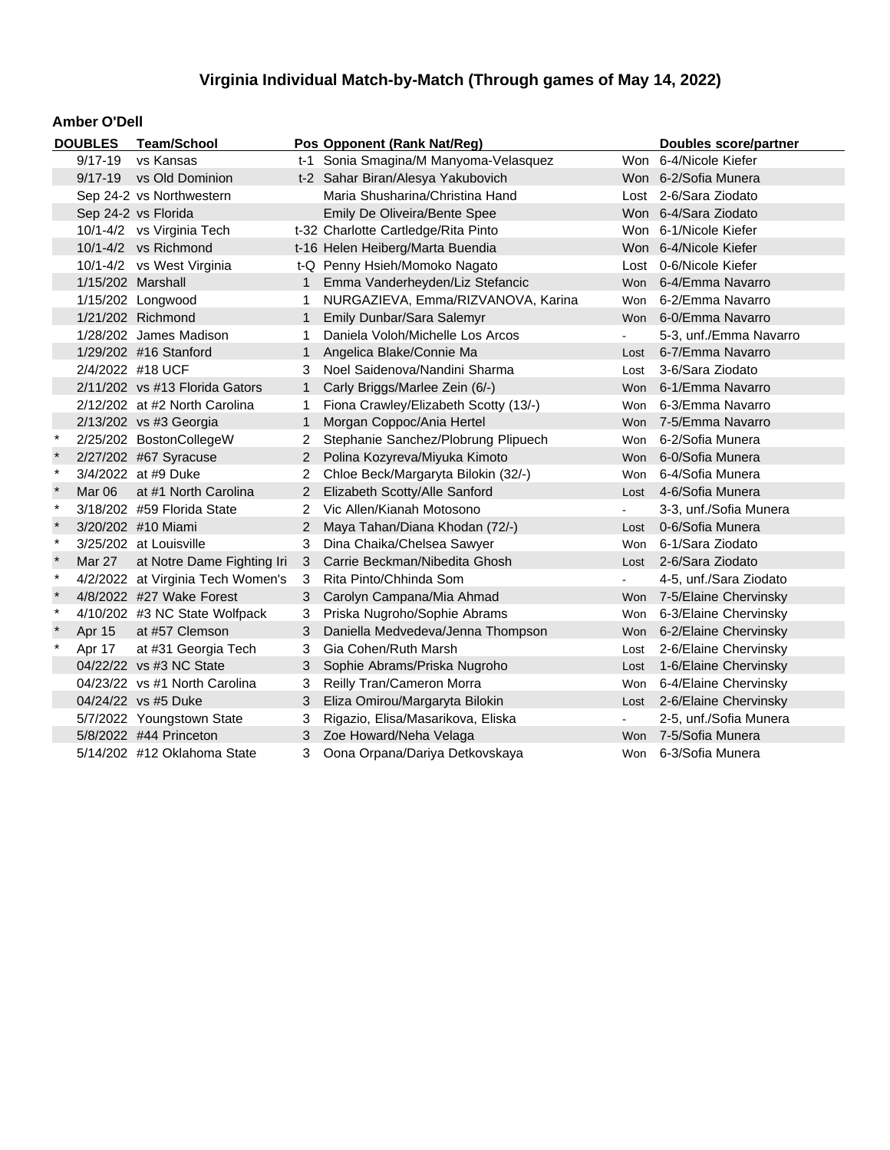#### **Amber O'Dell**

| <b>DOUBLES</b> |                          | <b>Team/School</b>                |                | Pos Opponent (Rank Nat/Reg)           | Doubles score/partner |                           |
|----------------|--------------------------|-----------------------------------|----------------|---------------------------------------|-----------------------|---------------------------|
|                | $9/17 - 19$<br>vs Kansas |                                   |                | t-1 Sonia Smagina/M Manyoma-Velasquez |                       | Won 6-4/Nicole Kiefer     |
|                | $9/17 - 19$              | vs Old Dominion                   |                | t-2 Sahar Biran/Alesya Yakubovich     |                       | Won 6-2/Sofia Munera      |
|                | Sep 24-2 vs Northwestern |                                   |                | Maria Shusharina/Christina Hand       |                       | Lost 2-6/Sara Ziodato     |
|                |                          | Sep 24-2 vs Florida               |                | Emily De Oliveira/Bente Spee          |                       | Won 6-4/Sara Ziodato      |
|                |                          | 10/1-4/2 vs Virginia Tech         |                | t-32 Charlotte Cartledge/Rita Pinto   |                       | Won 6-1/Nicole Kiefer     |
|                |                          | 10/1-4/2 vs Richmond              |                | t-16 Helen Heiberg/Marta Buendia      |                       | Won 6-4/Nicole Kiefer     |
|                |                          | 10/1-4/2 vs West Virginia         |                | t-Q Penny Hsieh/Momoko Nagato         |                       | Lost 0-6/Nicole Kiefer    |
|                | 1/15/202 Marshall        |                                   | 1              | Emma Vanderheyden/Liz Stefancic       |                       | Won 6-4/Emma Navarro      |
|                |                          | 1/15/202 Longwood                 | 1.             | NURGAZIEVA, Emma/RIZVANOVA, Karina    | Won                   | 6-2/Emma Navarro          |
|                |                          | 1/21/202 Richmond                 | $\mathbf{1}$   | Emily Dunbar/Sara Salemyr             |                       | Won 6-0/Emma Navarro      |
|                |                          | 1/28/202 James Madison            | 1.             | Daniela Voloh/Michelle Los Arcos      |                       | 5-3, unf./Emma Navarro    |
|                |                          | 1/29/202 #16 Stanford             | $\mathbf{1}$   | Angelica Blake/Connie Ma              |                       | Lost 6-7/Emma Navarro     |
|                |                          | 2/4/2022 #18 UCF                  | 3              | Noel Saidenova/Nandini Sharma         | Lost                  | 3-6/Sara Ziodato          |
|                |                          | 2/11/202 vs #13 Florida Gators    | $\mathbf 1$    | Carly Briggs/Marlee Zein (6/-)        |                       | Won 6-1/Emma Navarro      |
|                |                          | 2/12/202 at #2 North Carolina     | 1.             | Fiona Crawley/Elizabeth Scotty (13/-) | Won                   | 6-3/Emma Navarro          |
|                |                          | 2/13/202 vs #3 Georgia            | 1              | Morgan Coppoc/Ania Hertel             | Won                   | 7-5/Emma Navarro          |
|                |                          | 2/25/202 BostonCollegeW           | 2              | Stephanie Sanchez/Plobrung Plipuech   | Won                   | 6-2/Sofia Munera          |
|                |                          | 2/27/202 #67 Syracuse             | 2              | Polina Kozyreva/Miyuka Kimoto         | Won                   | 6-0/Sofia Munera          |
| $\star$        |                          | 3/4/2022 at #9 Duke               | 2              | Chloe Beck/Margaryta Bilokin (32/-)   | Won                   | 6-4/Sofia Munera          |
| $\ast$         | Mar 06                   | at #1 North Carolina              | 2              | Elizabeth Scotty/Alle Sanford         | Lost                  | 4-6/Sofia Munera          |
| $\ast$         |                          | 3/18/202 #59 Florida State        | 2              | Vic Allen/Kianah Motosono             | $\blacksquare$        | 3-3, unf./Sofia Munera    |
|                |                          | 3/20/202 #10 Miami                | 2              | Maya Tahan/Diana Khodan (72/-)        | Lost                  | 0-6/Sofia Munera          |
| $\ast$         |                          | 3/25/202 at Louisville            | 3              | Dina Chaika/Chelsea Sawyer            | Won                   | 6-1/Sara Ziodato          |
|                | Mar 27                   | at Notre Dame Fighting Iri        | 3 <sup>1</sup> | Carrie Beckman/Nibedita Ghosh         |                       | Lost 2-6/Sara Ziodato     |
| $\ast$         |                          | 4/2/2022 at Virginia Tech Women's | 3              | Rita Pinto/Chhinda Som                |                       | 4-5, unf./Sara Ziodato    |
|                |                          | 4/8/2022 #27 Wake Forest          | 3              | Carolyn Campana/Mia Ahmad             |                       | Won 7-5/Elaine Chervinsky |
| $\ast$         |                          | 4/10/202 #3 NC State Wolfpack     | 3.             | Priska Nugroho/Sophie Abrams          | Won                   | 6-3/Elaine Chervinsky     |
|                | Apr 15                   | at #57 Clemson                    | 3              | Daniella Medvedeva/Jenna Thompson     | Won                   | 6-2/Elaine Chervinsky     |
| $\ast$         | Apr 17                   | at #31 Georgia Tech               | 3              | Gia Cohen/Ruth Marsh                  | Lost                  | 2-6/Elaine Chervinsky     |
|                |                          | 04/22/22 vs #3 NC State           | 3              | Sophie Abrams/Priska Nugroho          | Lost                  | 1-6/Elaine Chervinsky     |
|                |                          | 04/23/22 vs #1 North Carolina     | 3              | Reilly Tran/Cameron Morra             | Won                   | 6-4/Elaine Chervinsky     |
|                |                          | 04/24/22 vs #5 Duke               | 3              | Eliza Omirou/Margaryta Bilokin        | Lost                  | 2-6/Elaine Chervinsky     |
|                |                          | 5/7/2022 Youngstown State         | 3              | Rigazio, Elisa/Masarikova, Eliska     | $\blacksquare$        | 2-5, unf./Sofia Munera    |
|                |                          | 5/8/2022 #44 Princeton            | 3              | Zoe Howard/Neha Velaga                |                       | Won 7-5/Sofia Munera      |
|                |                          | 5/14/202 #12 Oklahoma State       | 3.             | Oona Orpana/Dariya Detkovskaya        |                       | Won 6-3/Sofia Munera      |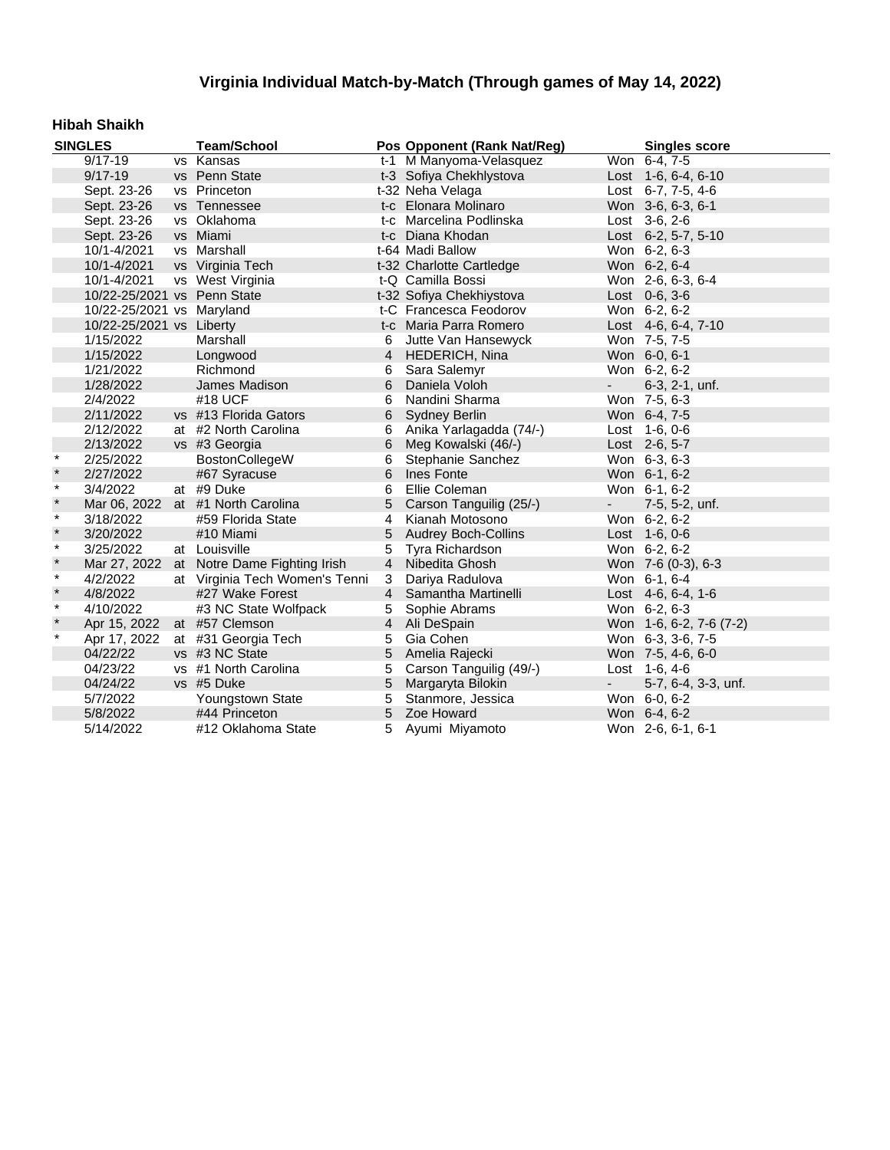### **Hibah Shaikh**

| <b>SINGLES</b> |                             | <b>Team/School</b>                |                | Pos Opponent (Rank Nat/Reg) |                     | <b>Singles score</b>    |
|----------------|-----------------------------|-----------------------------------|----------------|-----------------------------|---------------------|-------------------------|
|                | $9/17 - 19$                 | vs Kansas                         |                | t-1 M Manyoma-Velasquez     |                     | Won 6-4, 7-5            |
|                | $9/17 - 19$                 | vs Penn State                     |                | t-3 Sofiya Chekhlystova     |                     | Lost 1-6, 6-4, 6-10     |
|                | Sept. 23-26                 | vs Princeton                      |                | t-32 Neha Velaga            |                     | Lost 6-7, 7-5, 4-6      |
|                | Sept. 23-26                 | vs Tennessee                      |                | t-c Elonara Molinaro        |                     | Won 3-6, 6-3, 6-1       |
|                | Sept. 23-26                 | vs Oklahoma                       |                | t-c Marcelina Podlinska     |                     | Lost 3-6, 2-6           |
|                | Sept. 23-26                 | vs Miami                          |                | t-c Diana Khodan            |                     | Lost 6-2, 5-7, 5-10     |
|                | 10/1-4/2021                 | vs Marshall                       |                | t-64 Madi Ballow            |                     | Won 6-2, 6-3            |
|                | 10/1-4/2021                 | vs Virginia Tech                  |                | t-32 Charlotte Cartledge    |                     | Won 6-2, 6-4            |
|                | 10/1-4/2021                 | vs West Virginia                  |                | t-Q Camilla Bossi           |                     | Won 2-6, 6-3, 6-4       |
|                | 10/22-25/2021 vs Penn State |                                   |                | t-32 Sofiya Chekhiystova    |                     | Lost 0-6, 3-6           |
|                | 10/22-25/2021 vs Maryland   |                                   |                | t-C Francesca Feodorov      |                     | Won 6-2, 6-2            |
|                | 10/22-25/2021 vs Liberty    |                                   |                | t-c Maria Parra Romero      |                     | Lost 4-6, 6-4, 7-10     |
|                | 1/15/2022                   | Marshall                          | 6              | Jutte Van Hansewyck         |                     | Won 7-5, 7-5            |
|                | 1/15/2022                   | Longwood                          | $\overline{4}$ | <b>HEDERICH, Nina</b>       |                     | Won 6-0, 6-1            |
|                | 1/21/2022                   | Richmond                          | 6              | Sara Salemyr                |                     | Won 6-2, 6-2            |
|                | 1/28/2022                   | James Madison                     | 6              | Daniela Voloh               | $\omega_{\rm{max}}$ | 6-3, 2-1, unf.          |
|                | 2/4/2022                    | #18 UCF                           | 6              | Nandini Sharma              |                     | Won 7-5, 6-3            |
|                | 2/11/2022                   | vs #13 Florida Gators             | 6              | <b>Sydney Berlin</b>        |                     | Won 6-4, 7-5            |
|                | 2/12/2022                   | at #2 North Carolina              | 6              | Anika Yarlagadda (74/-)     |                     | Lost 1-6, 0-6           |
|                | 2/13/2022                   | vs #3 Georgia                     | 6              | Meg Kowalski (46/-)         |                     | Lost 2-6, 5-7           |
| $\star$        | 2/25/2022                   | BostonCollegeW                    | 6              | Stephanie Sanchez           |                     | Won 6-3, 6-3            |
| $\star$        | 2/27/2022                   | #67 Syracuse                      | 6              | Ines Fonte                  |                     | Won 6-1, 6-2            |
| $\star$        | 3/4/2022                    | at #9 Duke                        | 6              | Ellie Coleman               |                     | Won 6-1, 6-2            |
| $\star$        |                             | Mar 06, 2022 at #1 North Carolina | $\overline{5}$ | Carson Tanguilig (25/-)     | $\sim 100$          | 7-5, 5-2, unf.          |
| $\star$        | 3/18/2022                   | #59 Florida State                 |                | 4 Kianah Motosono           |                     | Won 6-2, 6-2            |
| $\star$        | 3/20/2022                   | #10 Miami                         | 5              | <b>Audrey Boch-Collins</b>  |                     | Lost 1-6, 0-6           |
| $\star$        | 3/25/2022                   | at Louisville                     | 5              | Tyra Richardson             |                     | Won 6-2, 6-2            |
| $\star$        | Mar 27, 2022                | at Notre Dame Fighting Irish      | $\overline{4}$ | Nibedita Ghosh              |                     | Won 7-6 (0-3), 6-3      |
| $\star$        | 4/2/2022                    | at Virginia Tech Women's Tenni    | 3              | Dariya Radulova             |                     | Won 6-1, 6-4            |
| $\star$        | 4/8/2022                    | #27 Wake Forest                   | $\overline{4}$ | Samantha Martinelli         |                     | Lost $4-6, 6-4, 1-6$    |
| $\star$        | 4/10/2022                   | #3 NC State Wolfpack              | 5              | Sophie Abrams               |                     | Won 6-2, 6-3            |
| $\star$        | Apr 15, 2022                | at #57 Clemson                    |                | 4 Ali DeSpain               |                     | Won 1-6, 6-2, 7-6 (7-2) |
| $\star$        | Apr 17, 2022                | at #31 Georgia Tech               | 5              | Gia Cohen                   |                     | Won 6-3, 3-6, 7-5       |
|                | 04/22/22                    | vs #3 NC State                    | 5              | Amelia Rajecki              |                     | Won 7-5, 4-6, 6-0       |
|                | 04/23/22                    | vs #1 North Carolina              | 5              | Carson Tanguilig (49/-)     |                     | Lost 1-6, 4-6           |
|                | 04/24/22                    | vs #5 Duke                        | 5              | Margaryta Bilokin           | ۰.                  | 5-7, 6-4, 3-3, unf.     |
|                | 5/7/2022                    | Youngstown State                  | 5              | Stanmore, Jessica           |                     | Won 6-0, 6-2            |
|                | 5/8/2022                    | #44 Princeton                     |                | 5 Zoe Howard                |                     | Won 6-4, 6-2            |
|                | 5/14/2022                   | #12 Oklahoma State                |                | 5 Ayumi Miyamoto            |                     | Won 2-6, 6-1, 6-1       |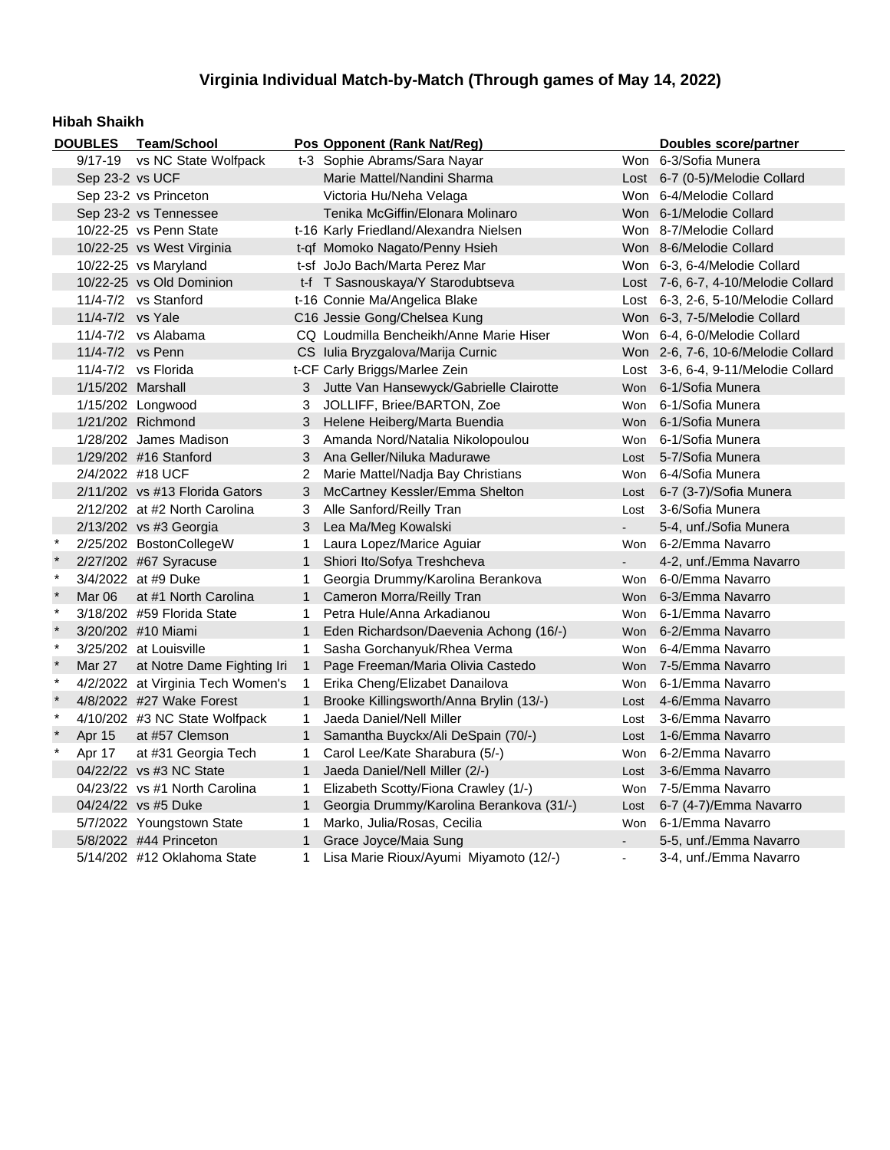#### **Hibah Shaikh**

|         | <b>DOUBLES</b>    | <b>Team/School</b>                |                              | Pos Opponent (Rank Nat/Reg)               |                      | Doubles score/partner               |
|---------|-------------------|-----------------------------------|------------------------------|-------------------------------------------|----------------------|-------------------------------------|
|         | 9/17-19           | vs NC State Wolfpack              | t-3 Sophie Abrams/Sara Nayar |                                           | Won 6-3/Sofia Munera |                                     |
|         |                   | Sep 23-2 vs UCF                   |                              | Marie Mattel/Nandini Sharma               |                      | Lost 6-7 (0-5)/Melodie Collard      |
|         |                   | Sep 23-2 vs Princeton             |                              | Victoria Hu/Neha Velaga                   |                      | Won 6-4/Melodie Collard             |
|         |                   | Sep 23-2 vs Tennessee             |                              | Tenika McGiffin/Elonara Molinaro          |                      | Won 6-1/Melodie Collard             |
|         |                   | 10/22-25 vs Penn State            |                              | t-16 Karly Friedland/Alexandra Nielsen    |                      | Won 8-7/Melodie Collard             |
|         |                   | 10/22-25 vs West Virginia         |                              | t-gf Momoko Nagato/Penny Hsieh            |                      | Won 8-6/Melodie Collard             |
|         |                   | 10/22-25 vs Maryland              |                              | t-sf JoJo Bach/Marta Perez Mar            |                      | Won 6-3, 6-4/Melodie Collard        |
|         |                   | 10/22-25 vs Old Dominion          |                              | t-f T Sasnouskaya/Y Starodubtseva         |                      | Lost 7-6, 6-7, 4-10/Melodie Collard |
|         |                   | 11/4-7/2 vs Stanford              |                              | t-16 Connie Ma/Angelica Blake             |                      | Lost 6-3, 2-6, 5-10/Melodie Collard |
|         | 11/4-7/2 vs Yale  |                                   |                              | C16 Jessie Gong/Chelsea Kung              |                      | Won 6-3, 7-5/Melodie Collard        |
|         |                   | 11/4-7/2 vs Alabama               |                              | CQ Loudmilla Bencheikh/Anne Marie Hiser   |                      | Won 6-4, 6-0/Melodie Collard        |
|         | 11/4-7/2 vs Penn  |                                   |                              | CS Iulia Bryzgalova/Marija Curnic         |                      | Won 2-6, 7-6, 10-6/Melodie Collard  |
|         |                   | 11/4-7/2 vs Florida               |                              | t-CF Carly Briggs/Marlee Zein             |                      | Lost 3-6, 6-4, 9-11/Melodie Collard |
|         | 1/15/202 Marshall |                                   |                              | 3 Jutte Van Hansewyck/Gabrielle Clairotte |                      | Won 6-1/Sofia Munera                |
|         |                   | 1/15/202 Longwood                 | 3                            | JOLLIFF, Briee/BARTON, Zoe                | Won                  | 6-1/Sofia Munera                    |
|         |                   | 1/21/202 Richmond                 | 3                            | Helene Heiberg/Marta Buendia              | <b>Won</b>           | 6-1/Sofia Munera                    |
|         |                   | 1/28/202 James Madison            | 3                            | Amanda Nord/Natalia Nikolopoulou          | Won                  | 6-1/Sofia Munera                    |
|         |                   | 1/29/202 #16 Stanford             | 3                            | Ana Geller/Niluka Madurawe                | Lost                 | 5-7/Sofia Munera                    |
|         | 2/4/2022 #18 UCF  |                                   | $\overline{2}$               | Marie Mattel/Nadja Bay Christians         | Won                  | 6-4/Sofia Munera                    |
|         |                   | 2/11/202 vs #13 Florida Gators    | 3                            | McCartney Kessler/Emma Shelton            | Lost                 | 6-7 (3-7)/Sofia Munera              |
|         |                   | 2/12/202 at #2 North Carolina     | 3                            | Alle Sanford/Reilly Tran                  | Lost                 | 3-6/Sofia Munera                    |
|         |                   | 2/13/202 vs #3 Georgia            | 3                            | Lea Ma/Meg Kowalski                       |                      | 5-4, unf./Sofia Munera              |
| $\star$ |                   | 2/25/202 BostonCollegeW           | $\mathbf{1}$                 | Laura Lopez/Marice Aguiar                 |                      | Won 6-2/Emma Navarro                |
| $\star$ |                   | 2/27/202 #67 Syracuse             | $\mathbf 1$                  | Shiori Ito/Sofya Treshcheva               | $\sim$               | 4-2, unf./Emma Navarro              |
| $\star$ |                   | 3/4/2022 at #9 Duke               | 1                            | Georgia Drummy/Karolina Berankova         | Won                  | 6-0/Emma Navarro                    |
| $\star$ | Mar 06            | at #1 North Carolina              | 1                            | Cameron Morra/Reilly Tran                 |                      | Won 6-3/Emma Navarro                |
| $\star$ |                   | 3/18/202 #59 Florida State        | $\mathbf{1}$                 | Petra Hule/Anna Arkadianou                |                      | Won 6-1/Emma Navarro                |
| $\star$ |                   | 3/20/202 #10 Miami                | $\mathbf{1}$                 | Eden Richardson/Daevenia Achong (16/-)    |                      | Won 6-2/Emma Navarro                |
| $\star$ |                   | 3/25/202 at Louisville            | 1                            | Sasha Gorchanyuk/Rhea Verma               | Won                  | 6-4/Emma Navarro                    |
| $\star$ | <b>Mar 27</b>     | at Notre Dame Fighting Iri        | $\mathbf{1}$                 | Page Freeman/Maria Olivia Castedo         |                      | Won 7-5/Emma Navarro                |
| $\star$ |                   | 4/2/2022 at Virginia Tech Women's | $\mathbf{1}$                 | Erika Cheng/Elizabet Danailova            | Won                  | 6-1/Emma Navarro                    |
| $\star$ |                   | 4/8/2022 #27 Wake Forest          | $\mathbf{1}$                 | Brooke Killingsworth/Anna Brylin (13/-)   | Lost                 | 4-6/Emma Navarro                    |
| $\star$ |                   | 4/10/202 #3 NC State Wolfpack     | 1                            | Jaeda Daniel/Nell Miller                  | Lost                 | 3-6/Emma Navarro                    |
|         | Apr 15            | at #57 Clemson                    | $\mathbf{1}$                 | Samantha Buyckx/Ali DeSpain (70/-)        | Lost                 | 1-6/Emma Navarro                    |
| $\star$ | Apr 17            | at #31 Georgia Tech               | 1                            | Carol Lee/Kate Sharabura (5/-)            | Won                  | 6-2/Emma Navarro                    |
|         |                   | 04/22/22 vs #3 NC State           | $\mathbf{1}$                 | Jaeda Daniel/Nell Miller (2/-)            | Lost                 | 3-6/Emma Navarro                    |
|         |                   | 04/23/22 vs #1 North Carolina     | 1                            | Elizabeth Scotty/Fiona Crawley (1/-)      | Won                  | 7-5/Emma Navarro                    |
|         |                   | 04/24/22 vs #5 Duke               | $\mathbf{1}$                 | Georgia Drummy/Karolina Berankova (31/-)  | Lost                 | 6-7 (4-7)/Emma Navarro              |
|         |                   | 5/7/2022 Youngstown State         | 1                            | Marko, Julia/Rosas, Cecilia               | Won                  | 6-1/Emma Navarro                    |
|         |                   | 5/8/2022 #44 Princeton            | $\mathbf{1}$                 | Grace Joyce/Maia Sung                     |                      | 5-5, unf./Emma Navarro              |
|         |                   | 5/14/202 #12 Oklahoma State       | 1                            | Lisa Marie Rioux/Ayumi Miyamoto (12/-)    |                      | 3-4, unf./Emma Navarro              |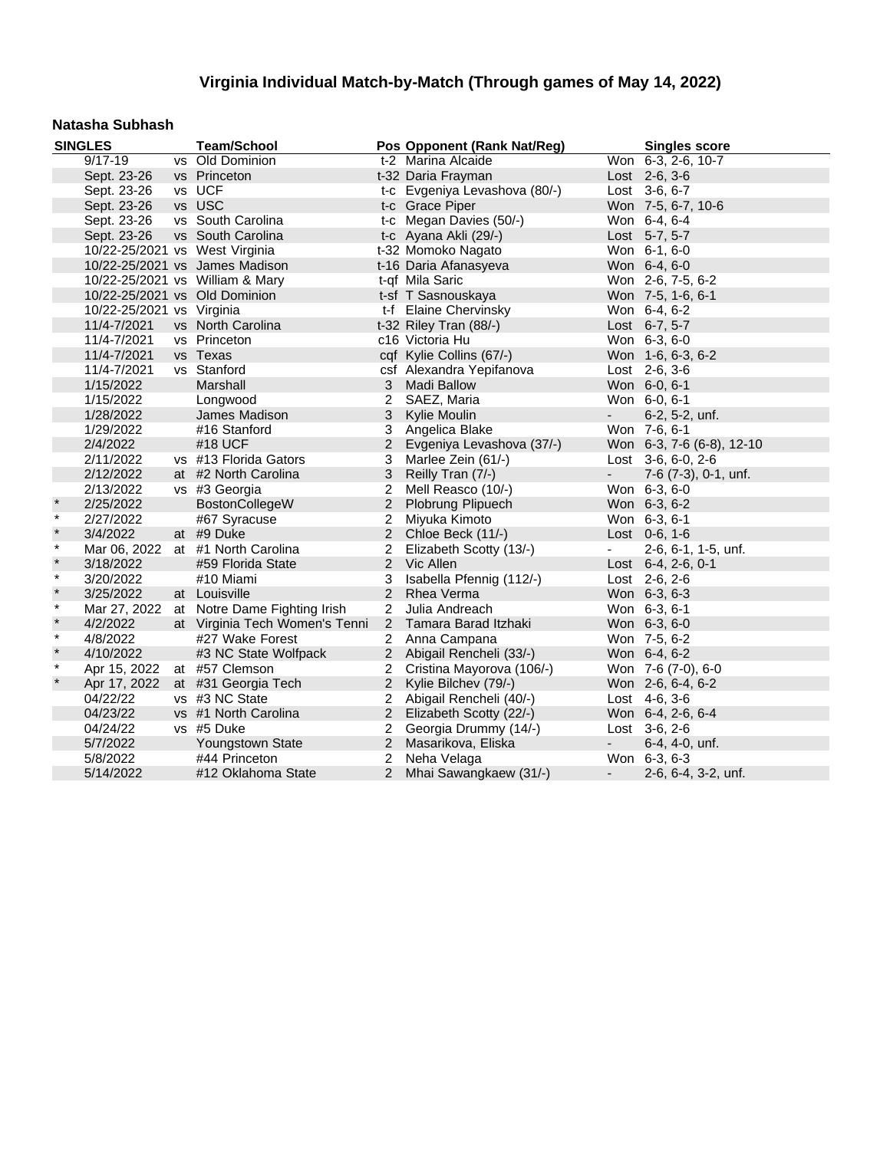#### **Natasha Subhash**

|         | <b>SINGLES</b>                 | <b>Team/School</b>                        |                | Pos Opponent (Rank Nat/Reg)   |                          | <b>Singles score</b>      |
|---------|--------------------------------|-------------------------------------------|----------------|-------------------------------|--------------------------|---------------------------|
|         | $9/17 - 19$                    | vs Old Dominion                           |                | t-2 Marina Alcaide            |                          | Won 6-3, 2-6, 10-7        |
|         | Sept. 23-26                    | vs Princeton                              |                | t-32 Daria Frayman            |                          | Lost 2-6, 3-6             |
|         | Sept. 23-26                    | vs UCF                                    |                | t-c Evgeniya Levashova (80/-) |                          | Lost 3-6, 6-7             |
|         | Sept. 23-26                    | vs USC                                    |                | t-c Grace Piper               |                          | Won 7-5, 6-7, 10-6        |
|         | Sept. 23-26                    | vs South Carolina                         |                | t-c Megan Davies (50/-)       |                          | Won 6-4, 6-4              |
|         | Sept. 23-26                    | vs South Carolina                         |                | t-c Ayana Akli (29/-)         |                          | Lost 5-7, 5-7             |
|         | 10/22-25/2021 vs West Virginia |                                           |                | t-32 Momoko Nagato            |                          | Won 6-1, 6-0              |
|         |                                | 10/22-25/2021 vs James Madison            |                | t-16 Daria Afanasyeva         |                          | Won 6-4, 6-0              |
|         |                                | 10/22-25/2021 vs William & Mary           |                | t-qf Mila Saric               |                          | Won 2-6, 7-5, 6-2         |
|         | 10/22-25/2021 vs Old Dominion  |                                           |                | t-sf T Sasnouskaya            |                          | Won 7-5, 1-6, 6-1         |
|         | 10/22-25/2021 vs Virginia      |                                           |                | t-f Elaine Chervinsky         |                          | Won 6-4, 6-2              |
|         | 11/4-7/2021                    | vs North Carolina                         |                | t-32 Riley Tran (88/-)        |                          | Lost 6-7, 5-7             |
|         | 11/4-7/2021                    | vs Princeton                              |                | c16 Victoria Hu               |                          | Won 6-3, 6-0              |
|         | 11/4-7/2021                    | vs Texas                                  |                | cqf Kylie Collins (67/-)      |                          | Won 1-6, 6-3, 6-2         |
|         | 11/4-7/2021                    | vs Stanford                               |                | csf Alexandra Yepifanova      |                          | Lost 2-6, 3-6             |
|         | 1/15/2022                      | Marshall                                  | 3              | <b>Madi Ballow</b>            |                          | Won 6-0, 6-1              |
|         | 1/15/2022                      | Longwood                                  | $\overline{2}$ | SAEZ, Maria                   |                          | Won 6-0, 6-1              |
|         | 1/28/2022                      | James Madison                             | 3              | Kylie Moulin                  | $\overline{\phantom{a}}$ | 6-2, 5-2, unf.            |
|         | 1/29/2022                      | #16 Stanford                              | 3              | Angelica Blake                |                          | Won 7-6, 6-1              |
|         | 2/4/2022                       | #18 UCF                                   | $\overline{2}$ | Evgeniya Levashova (37/-)     |                          | Won 6-3, 7-6 (6-8), 12-10 |
|         | 2/11/2022                      | vs #13 Florida Gators                     | 3              | Marlee Zein (61/-)            |                          | Lost $3-6, 6-0, 2-6$      |
|         | 2/12/2022                      | at #2 North Carolina                      | 3              | Reilly Tran (7/-)             | $\sim$                   | 7-6 (7-3), 0-1, unf.      |
|         | 2/13/2022                      | vs #3 Georgia                             | 2              | Mell Reasco (10/-)            |                          | Won 6-3, 6-0              |
| $\star$ | 2/25/2022                      | BostonCollegeW                            | $\overline{2}$ | Plobrung Plipuech             |                          | Won 6-3, 6-2              |
| $\star$ | 2/27/2022                      | #67 Syracuse                              | 2              | Miyuka Kimoto                 |                          | Won 6-3, 6-1              |
| $\star$ | 3/4/2022                       | at #9 Duke                                | 2              | Chloe Beck (11/-)             |                          | Lost 0-6, 1-6             |
| $\star$ |                                | Mar 06, 2022 at #1 North Carolina         | $\overline{2}$ | Elizabeth Scotty (13/-)       | $\overline{\phantom{a}}$ | 2-6, 6-1, 1-5, unf.       |
| $\star$ | 3/18/2022                      | #59 Florida State                         |                | 2 Vic Allen                   |                          | Lost 6-4, 2-6, 0-1        |
| $\star$ | 3/20/2022                      | #10 Miami                                 | 3              | Isabella Pfennig (112/-)      |                          | Lost 2-6, 2-6             |
| $\star$ | 3/25/2022                      | at Louisville                             | 2              | Rhea Verma                    |                          | Won 6-3, 6-3              |
| $\ast$  |                                | Mar 27, 2022 at Notre Dame Fighting Irish | $\overline{2}$ | Julia Andreach                |                          | Won 6-3, 6-1              |
| $\star$ | 4/2/2022                       | at Virginia Tech Women's Tenni            |                | 2 Tamara Barad Itzhaki        |                          | Won 6-3, 6-0              |
| $\star$ | 4/8/2022                       | #27 Wake Forest                           |                | 2 Anna Campana                |                          | Won 7-5, 6-2              |
| $\star$ | 4/10/2022                      | #3 NC State Wolfpack                      |                | 2 Abigail Rencheli (33/-)     |                          | Won 6-4, 6-2              |
| $\star$ | Apr 15, 2022                   | at #57 Clemson                            |                | 2 Cristina Mayorova (106/-)   |                          | Won 7-6 (7-0), 6-0        |
| $\star$ | Apr 17, 2022                   | at #31 Georgia Tech                       |                | 2 Kylie Bilchev (79/-)        |                          | Won 2-6, 6-4, 6-2         |
|         | 04/22/22                       | vs #3 NC State                            | $\overline{2}$ | Abigail Rencheli (40/-)       |                          | Lost 4-6, 3-6             |
|         | 04/23/22                       | vs #1 North Carolina                      |                | 2 Elizabeth Scotty (22/-)     |                          | Won 6-4, 2-6, 6-4         |
|         | 04/24/22                       | vs #5 Duke                                | $\overline{2}$ | Georgia Drummy (14/-)         |                          | Lost 3-6, 2-6             |
|         | 5/7/2022                       | Youngstown State                          | $2^{\circ}$    | Masarikova, Eliska            | $\sim$                   | 6-4, 4-0, unf.            |
|         | 5/8/2022                       | #44 Princeton                             | 2              | Neha Velaga                   |                          | Won 6-3, 6-3              |
|         | 5/14/2022                      | #12 Oklahoma State                        | 2              | Mhai Sawangkaew (31/-)        | $\overline{\phantom{a}}$ | 2-6, 6-4, 3-2, unf.       |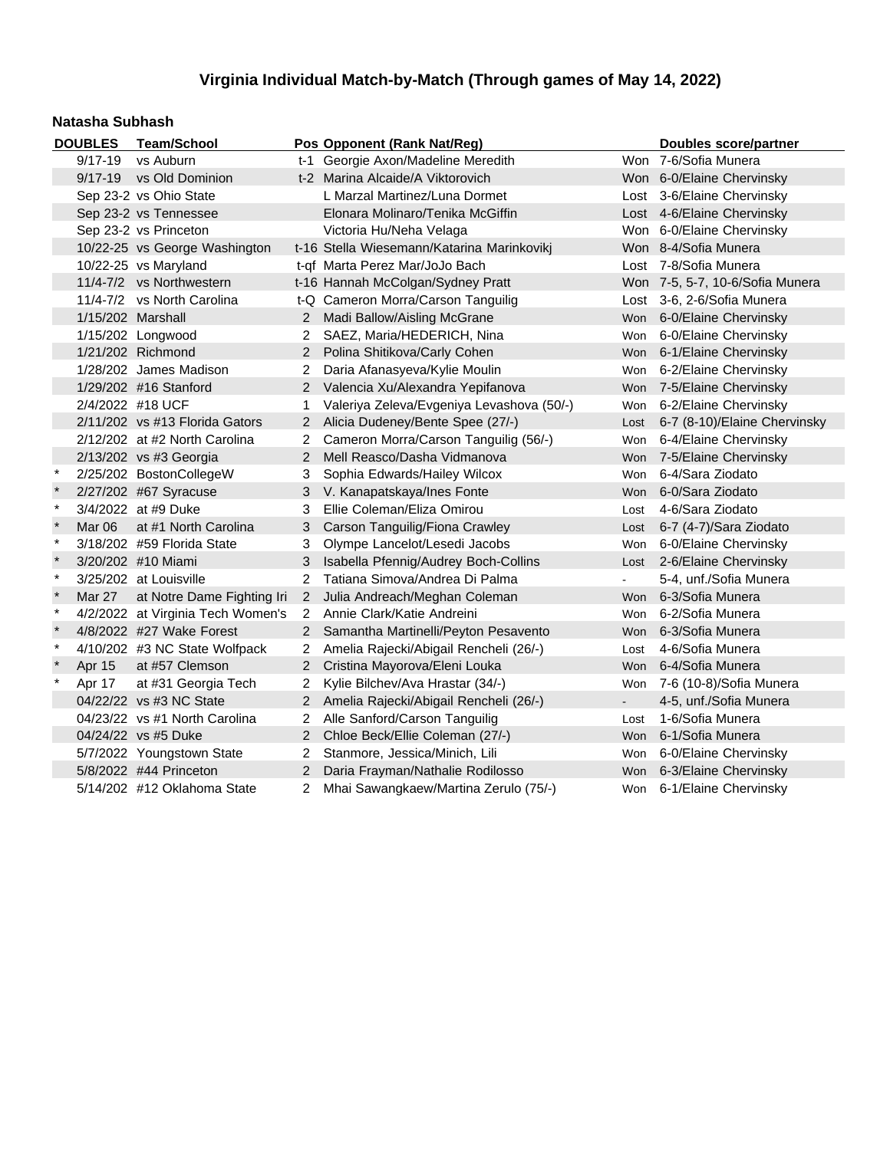#### **Natasha Subhash**

|         | <b>DOUBLES</b>         | <b>Team/School</b>                |                       | Pos Opponent (Rank Nat/Reg)                |            | Doubles score/partner           |
|---------|------------------------|-----------------------------------|-----------------------|--------------------------------------------|------------|---------------------------------|
|         | 9/17-19                | vs Auburn                         |                       | t-1 Georgie Axon/Madeline Meredith         |            | Won 7-6/Sofia Munera            |
|         |                        | 9/17-19 vs Old Dominion           |                       | t-2 Marina Alcaide/A Viktorovich           |            | Won 6-0/Elaine Chervinsky       |
|         | Sep 23-2 vs Ohio State |                                   |                       | L Marzal Martinez/Luna Dormet              |            | Lost 3-6/Elaine Chervinsky      |
|         |                        | Sep 23-2 vs Tennessee             |                       | Elonara Molinaro/Tenika McGiffin           |            | Lost 4-6/Elaine Chervinsky      |
|         |                        | Sep 23-2 vs Princeton             |                       | Victoria Hu/Neha Velaga                    |            | Won 6-0/Elaine Chervinsky       |
|         |                        | 10/22-25 vs George Washington     |                       | t-16 Stella Wiesemann/Katarina Marinkoviki |            | Won 8-4/Sofia Munera            |
|         |                        | 10/22-25 vs Maryland              |                       | t-qf Marta Perez Mar/JoJo Bach             |            | Lost 7-8/Sofia Munera           |
|         |                        | 11/4-7/2 vs Northwestern          |                       | t-16 Hannah McColgan/Sydney Pratt          |            | Won 7-5, 5-7, 10-6/Sofia Munera |
|         |                        | 11/4-7/2 vs North Carolina        |                       | t-Q Cameron Morra/Carson Tanguilig         |            | Lost 3-6, 2-6/Sofia Munera      |
|         | 1/15/202 Marshall      |                                   |                       | 2 Madi Ballow/Aisling McGrane              | Won        | 6-0/Elaine Chervinsky           |
|         |                        | 1/15/202 Longwood                 | 2                     | SAEZ, Maria/HEDERICH, Nina                 | Won        | 6-0/Elaine Chervinsky           |
|         |                        | 1/21/202 Richmond                 | $\overline{2}$        | Polina Shitikova/Carly Cohen               |            | Won 6-1/Elaine Chervinsky       |
|         |                        | 1/28/202 James Madison            | 2                     | Daria Afanasyeva/Kylie Moulin              | Won        | 6-2/Elaine Chervinsky           |
|         |                        | 1/29/202 #16 Stanford             | $\mathbf{2}$          | Valencia Xu/Alexandra Yepifanova           | <b>Won</b> | 7-5/Elaine Chervinsky           |
|         | 2/4/2022 #18 UCF       |                                   | 1                     | Valeriya Zeleva/Evgeniya Levashova (50/-)  |            | Won 6-2/Elaine Chervinsky       |
|         |                        | 2/11/202 vs #13 Florida Gators    | 2                     | Alicia Dudeney/Bente Spee (27/-)           | Lost       | 6-7 (8-10)/Elaine Chervinsky    |
|         |                        | 2/12/202 at #2 North Carolina     |                       | Cameron Morra/Carson Tanguilig (56/-)      | Won        | 6-4/Elaine Chervinsky           |
|         |                        | 2/13/202 vs #3 Georgia            | 2                     | Mell Reasco/Dasha Vidmanova                | <b>Won</b> | 7-5/Elaine Chervinsky           |
| $\ast$  |                        | 2/25/202 BostonCollegeW           | 3                     | Sophia Edwards/Hailey Wilcox               | Won        | 6-4/Sara Ziodato                |
| $\star$ |                        | 2/27/202 #67 Syracuse             | 3.                    | V. Kanapatskaya/Ines Fonte                 | <b>Won</b> | 6-0/Sara Ziodato                |
| $\star$ |                        | 3/4/2022 at #9 Duke               | 3                     | Ellie Coleman/Eliza Omirou                 | Lost       | 4-6/Sara Ziodato                |
| $\star$ | Mar 06                 | at #1 North Carolina              | 3                     | Carson Tanguilig/Fiona Crawley             | Lost       | 6-7 (4-7)/Sara Ziodato          |
| $\star$ |                        | 3/18/202 #59 Florida State        | 3                     | Olympe Lancelot/Lesedi Jacobs              | Won        | 6-0/Elaine Chervinsky           |
| $\star$ |                        | 3/20/202 #10 Miami                | 3                     | Isabella Pfennig/Audrey Boch-Collins       | Lost       | 2-6/Elaine Chervinsky           |
| $\star$ |                        | 3/25/202 at Louisville            | $\overline{2}$        | Tatiana Simova/Andrea Di Palma             |            | 5-4, unf./Sofia Munera          |
| $\star$ | <b>Mar 27</b>          | at Notre Dame Fighting Iri        | $2^{\circ}$           | Julia Andreach/Meghan Coleman              | <b>Won</b> | 6-3/Sofia Munera                |
| $\star$ |                        | 4/2/2022 at Virginia Tech Women's | $\mathbf{2}^{\circ}$  | Annie Clark/Katie Andreini                 | Won        | 6-2/Sofia Munera                |
| $\star$ |                        | 4/8/2022 #27 Wake Forest          | $2^{\circ}$           | Samantha Martinelli/Peyton Pesavento       | <b>Won</b> | 6-3/Sofia Munera                |
| $\star$ |                        | 4/10/202 #3 NC State Wolfpack     | 2                     | Amelia Rajecki/Abigail Rencheli (26/-)     | Lost       | 4-6/Sofia Munera                |
| $\star$ | Apr 15                 | at #57 Clemson                    | $\overline{2}$        | Cristina Mayorova/Eleni Louka              | <b>Won</b> | 6-4/Sofia Munera                |
| $\star$ | Apr 17                 | at #31 Georgia Tech               | 2                     | Kylie Bilchev/Ava Hrastar (34/-)           | Won        | 7-6 (10-8)/Sofia Munera         |
|         |                        | 04/22/22 vs #3 NC State           |                       | 2 Amelia Rajecki/Abigail Rencheli (26/-)   | $\sim$     | 4-5, unf./Sofia Munera          |
|         |                        | 04/23/22 vs #1 North Carolina     | 2                     | Alle Sanford/Carson Tanguilig              | Lost       | 1-6/Sofia Munera                |
|         |                        | 04/24/22 vs #5 Duke               | $2^{\circ}$           | Chloe Beck/Ellie Coleman (27/-)            | Won        | 6-1/Sofia Munera                |
|         |                        | 5/7/2022 Youngstown State         | $\mathbf{2}^{\circ}$  | Stanmore, Jessica/Minich, Lili             |            | Won 6-0/Elaine Chervinsky       |
|         |                        | 5/8/2022 #44 Princeton            | $\mathbf{2}^{\prime}$ | Daria Frayman/Nathalie Rodilosso           |            | Won 6-3/Elaine Chervinsky       |
|         |                        | 5/14/202 #12 Oklahoma State       | 2                     | Mhai Sawangkaew/Martina Zerulo (75/-)      |            | Won 6-1/Elaine Chervinsky       |